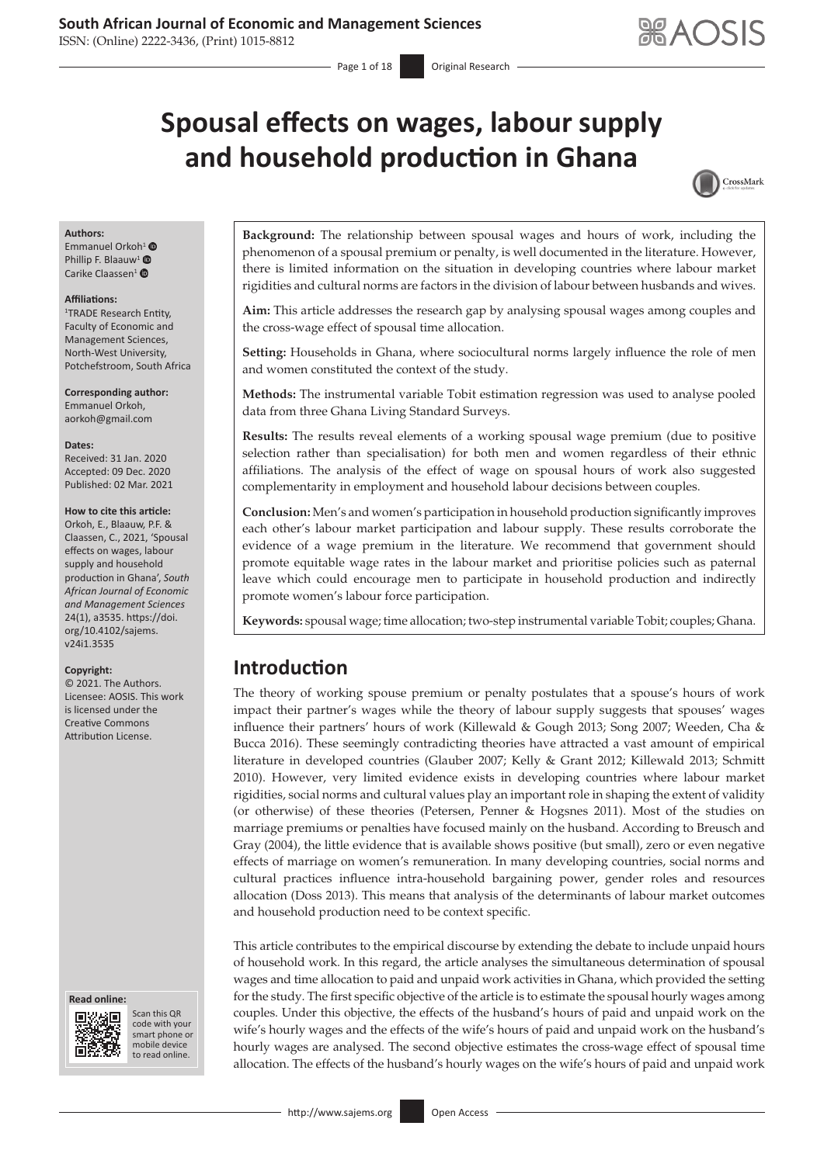ISSN: (Online) 2222-3436, (Print) 1015-8812

# **Spousal effects on wages, labour supply and household production in Ghana**



#### **Authors:**

Emmanuel Orkoh<sup>[1](http://orcid.org/0000-0002-0951-8936)</sup> <sup>O</sup> Phillip F. Blaauw<sup>[1](http://orcid.org/0000-0001-8750-4946)</sup> Carike Claassen<sup>[1](http://orcid.org/0000-0002-5814-9276)</sup> ®

#### **Affiliations:**

1 TRADE Research Entity, Faculty of Economic and Management Sciences, North-West University, Potchefstroom, South Africa

**Corresponding author:** Emmanuel Orkoh, [aorkoh@gmail.com](mailto:aorkoh@gmail.com)

#### **Dates:**

Received: 31 Jan. 2020 Accepted: 09 Dec. 2020 Published: 02 Mar. 2021

#### **How to cite this article:**

Orkoh, E., Blaauw, P.F. & Claassen, C., 2021, 'Spousal effects on wages, labour supply and household production in Ghana', *South African Journal of Economic and Management Sciences* 24(1), a3535. [https://doi.](https://doi.org/10.4102/sajems.v24i1.3535) [org/10.4102/sajems.](https://doi.org/10.4102/sajems.v24i1.3535) [v24i1.3535](https://doi.org/10.4102/sajems.v24i1.3535)

#### **Copyright:**

© 2021. The Authors. Licensee: AOSIS. This work is licensed under the Creative Commons Attribution License.





Scan this QR code with your Scan this QR<br>code with your<br>smart phone or<br>mobile device mobile device to read online. to read online.

**Background:** The relationship between spousal wages and hours of work, including the phenomenon of a spousal premium or penalty, is well documented in the literature. However, there is limited information on the situation in developing countries where labour market rigidities and cultural norms are factors in the division of labour between husbands and wives.

**Aim:** This article addresses the research gap by analysing spousal wages among couples and the cross-wage effect of spousal time allocation.

**Setting:** Households in Ghana, where sociocultural norms largely influence the role of men and women constituted the context of the study.

**Methods:** The instrumental variable Tobit estimation regression was used to analyse pooled data from three Ghana Living Standard Surveys.

**Results:** The results reveal elements of a working spousal wage premium (due to positive selection rather than specialisation) for both men and women regardless of their ethnic affiliations. The analysis of the effect of wage on spousal hours of work also suggested complementarity in employment and household labour decisions between couples.

**Conclusion:** Men's and women's participation in household production significantly improves each other's labour market participation and labour supply. These results corroborate the evidence of a wage premium in the literature. We recommend that government should promote equitable wage rates in the labour market and prioritise policies such as paternal leave which could encourage men to participate in household production and indirectly promote women's labour force participation.

**Keywords:** spousal wage; time allocation; two-step instrumental variable Tobit; couples; Ghana.

# **Introduction**

The theory of working spouse premium or penalty postulates that a spouse's hours of work impact their partner's wages while the theory of labour supply suggests that spouses' wages influence their partners' hours of work (Killewald & Gough 2013; Song 2007; Weeden, Cha & Bucca 2016). These seemingly contradicting theories have attracted a vast amount of empirical literature in developed countries (Glauber 2007; Kelly & Grant 2012; Killewald 2013; Schmitt 2010). However, very limited evidence exists in developing countries where labour market rigidities, social norms and cultural values play an important role in shaping the extent of validity (or otherwise) of these theories (Petersen, Penner & Hogsnes 2011). Most of the studies on marriage premiums or penalties have focused mainly on the husband. According to Breusch and Gray (2004), the little evidence that is available shows positive (but small), zero or even negative effects of marriage on women's remuneration. In many developing countries, social norms and cultural practices influence intra-household bargaining power, gender roles and resources allocation (Doss 2013). This means that analysis of the determinants of labour market outcomes and household production need to be context specific.

This article contributes to the empirical discourse by extending the debate to include unpaid hours of household work. In this regard, the article analyses the simultaneous determination of spousal wages and time allocation to paid and unpaid work activities in Ghana, which provided the setting for the study. The first specific objective of the article is to estimate the spousal hourly wages among couples. Under this objective, the effects of the husband's hours of paid and unpaid work on the wife's hourly wages and the effects of the wife's hours of paid and unpaid work on the husband's hourly wages are analysed. The second objective estimates the cross-wage effect of spousal time allocation. The effects of the husband's hourly wages on the wife's hours of paid and unpaid work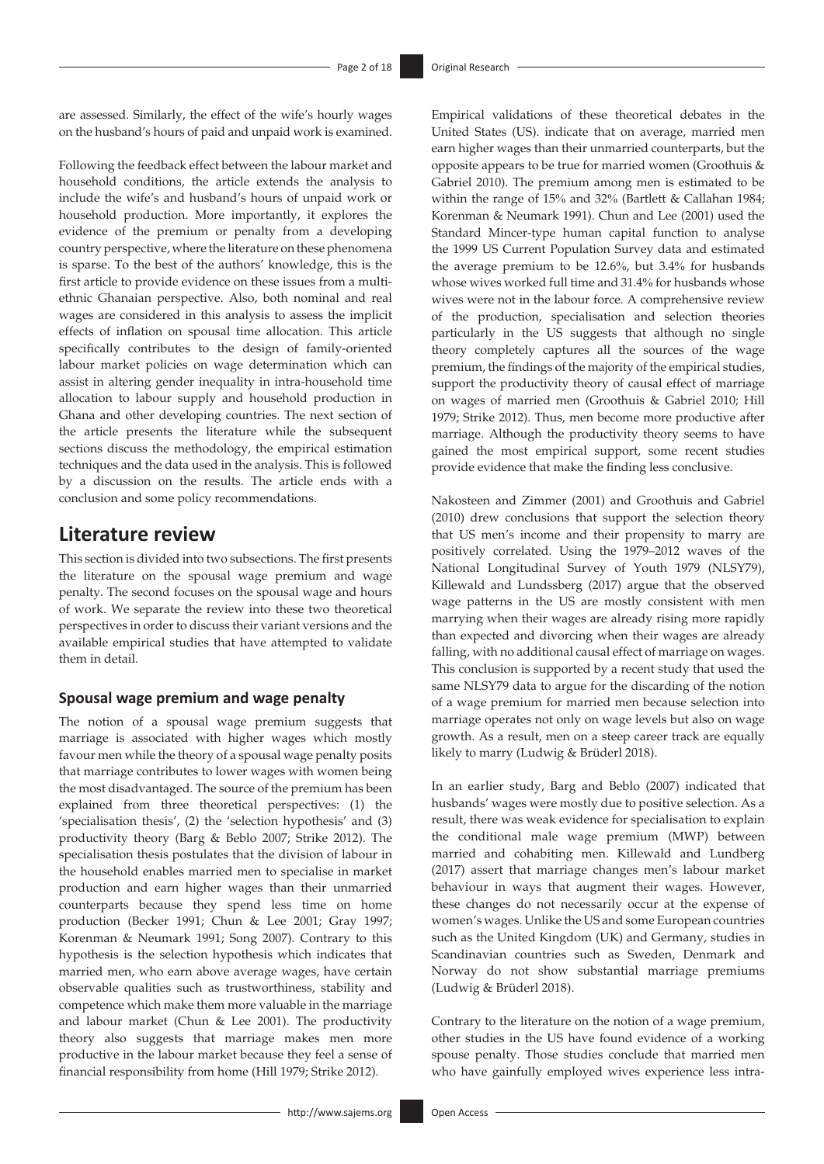are assessed. Similarly, the effect of the wife's hourly wages on the husband's hours of paid and unpaid work is examined.

Following the feedback effect between the labour market and household conditions, the article extends the analysis to include the wife's and husband's hours of unpaid work or household production. More importantly, it explores the evidence of the premium or penalty from a developing country perspective, where the literature on these phenomena is sparse. To the best of the authors' knowledge, this is the first article to provide evidence on these issues from a multiethnic Ghanaian perspective. Also, both nominal and real wages are considered in this analysis to assess the implicit effects of inflation on spousal time allocation. This article specifically contributes to the design of family-oriented labour market policies on wage determination which can assist in altering gender inequality in intra-household time allocation to labour supply and household production in Ghana and other developing countries. The next section of the article presents the literature while the subsequent sections discuss the methodology, the empirical estimation techniques and the data used in the analysis. This is followed by a discussion on the results. The article ends with a conclusion and some policy recommendations.

# **Literature review**

This section is divided into two subsections. The first presents the literature on the spousal wage premium and wage penalty. The second focuses on the spousal wage and hours of work. We separate the review into these two theoretical perspectives in order to discuss their variant versions and the available empirical studies that have attempted to validate them in detail.

### **Spousal wage premium and wage penalty**

The notion of a spousal wage premium suggests that marriage is associated with higher wages which mostly favour men while the theory of a spousal wage penalty posits that marriage contributes to lower wages with women being the most disadvantaged. The source of the premium has been explained from three theoretical perspectives: (1) the 'specialisation thesis', (2) the 'selection hypothesis' and (3) productivity theory (Barg & Beblo 2007; Strike 2012). The specialisation thesis postulates that the division of labour in the household enables married men to specialise in market production and earn higher wages than their unmarried counterparts because they spend less time on home production (Becker 1991; Chun & Lee 2001; Gray 1997; Korenman & Neumark 1991; Song 2007). Contrary to this hypothesis is the selection hypothesis which indicates that married men, who earn above average wages, have certain observable qualities such as trustworthiness, stability and competence which make them more valuable in the marriage and labour market (Chun & Lee 2001). The productivity theory also suggests that marriage makes men more productive in the labour market because they feel a sense of financial responsibility from home (Hill 1979; Strike 2012).

Empirical validations of these theoretical debates in the United States (US). indicate that on average, married men earn higher wages than their unmarried counterparts, but the opposite appears to be true for married women (Groothuis & Gabriel 2010). The premium among men is estimated to be within the range of 15% and 32% (Bartlett & Callahan 1984; Korenman & Neumark 1991). Chun and Lee (2001) used the Standard Mincer-type human capital function to analyse the 1999 US Current Population Survey data and estimated the average premium to be 12.6%, but 3.4% for husbands whose wives worked full time and 31.4% for husbands whose wives were not in the labour force. A comprehensive review of the production, specialisation and selection theories particularly in the US suggests that although no single theory completely captures all the sources of the wage premium, the findings of the majority of the empirical studies, support the productivity theory of causal effect of marriage on wages of married men (Groothuis & Gabriel 2010; Hill 1979; Strike 2012). Thus, men become more productive after marriage. Although the productivity theory seems to have gained the most empirical support, some recent studies provide evidence that make the finding less conclusive.

Nakosteen and Zimmer (2001) and Groothuis and Gabriel (2010) drew conclusions that support the selection theory that US men's income and their propensity to marry are positively correlated. Using the 1979–2012 waves of the National Longitudinal Survey of Youth 1979 (NLSY79), Killewald and Lundssberg (2017) argue that the observed wage patterns in the US are mostly consistent with men marrying when their wages are already rising more rapidly than expected and divorcing when their wages are already falling, with no additional causal effect of marriage on wages. This conclusion is supported by a recent study that used the same NLSY79 data to argue for the discarding of the notion of a wage premium for married men because selection into marriage operates not only on wage levels but also on wage growth. As a result, men on a steep career track are equally likely to marry (Ludwig & Brüderl 2018).

In an earlier study, Barg and Beblo (2007) indicated that husbands' wages were mostly due to positive selection. As a result, there was weak evidence for specialisation to explain the conditional male wage premium (MWP) between married and cohabiting men. Killewald and Lundberg (2017) assert that marriage changes men's labour market behaviour in ways that augment their wages. However, these changes do not necessarily occur at the expense of women's wages. Unlike the US and some European countries such as the United Kingdom (UK) and Germany, studies in Scandinavian countries such as Sweden, Denmark and Norway do not show substantial marriage premiums (Ludwig & Brüderl 2018).

Contrary to the literature on the notion of a wage premium, other studies in the US have found evidence of a working spouse penalty. Those studies conclude that married men who have gainfully employed wives experience less intra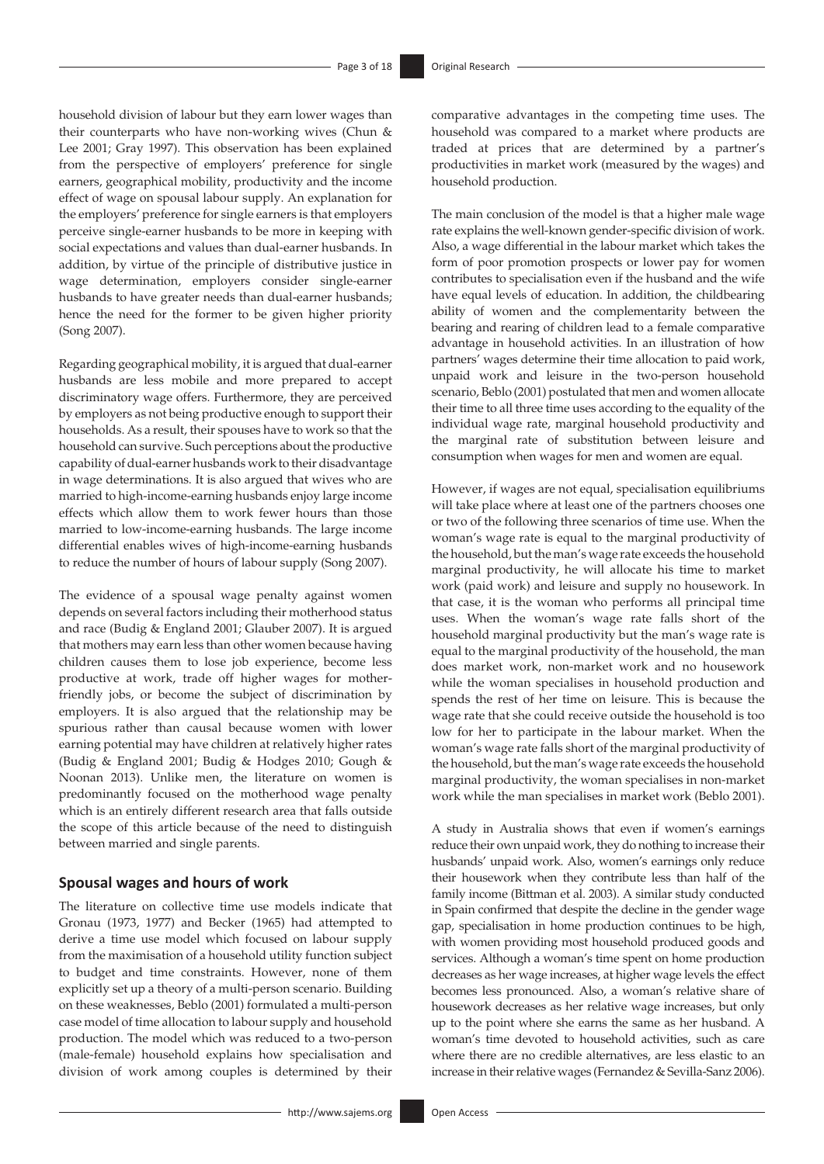household division of labour but they earn lower wages than their counterparts who have non-working wives (Chun & Lee 2001; Gray 1997). This observation has been explained from the perspective of employers' preference for single earners, geographical mobility, productivity and the income effect of wage on spousal labour supply. An explanation for the employers' preference for single earners is that employers perceive single-earner husbands to be more in keeping with social expectations and values than dual-earner husbands. In addition, by virtue of the principle of distributive justice in wage determination, employers consider single-earner husbands to have greater needs than dual-earner husbands; hence the need for the former to be given higher priority (Song 2007).

Regarding geographical mobility, it is argued that dual-earner husbands are less mobile and more prepared to accept discriminatory wage offers. Furthermore, they are perceived by employers as not being productive enough to support their households. As a result, their spouses have to work so that the household can survive. Such perceptions about the productive capability of dual-earner husbands work to their disadvantage in wage determinations. It is also argued that wives who are married to high-income-earning husbands enjoy large income effects which allow them to work fewer hours than those married to low-income-earning husbands. The large income differential enables wives of high-income-earning husbands to reduce the number of hours of labour supply (Song 2007).

The evidence of a spousal wage penalty against women depends on several factors including their motherhood status and race (Budig & England 2001; Glauber 2007). It is argued that mothers may earn less than other women because having children causes them to lose job experience, become less productive at work, trade off higher wages for motherfriendly jobs, or become the subject of discrimination by employers. It is also argued that the relationship may be spurious rather than causal because women with lower earning potential may have children at relatively higher rates (Budig & England 2001; Budig & Hodges 2010; Gough & Noonan 2013). Unlike men, the literature on women is predominantly focused on the motherhood wage penalty which is an entirely different research area that falls outside the scope of this article because of the need to distinguish between married and single parents.

# **Spousal wages and hours of work**

The literature on collective time use models indicate that Gronau (1973, 1977) and Becker (1965) had attempted to derive a time use model which focused on labour supply from the maximisation of a household utility function subject to budget and time constraints. However, none of them explicitly set up a theory of a multi-person scenario. Building on these weaknesses, Beblo (2001) formulated a multi-person case model of time allocation to labour supply and household production. The model which was reduced to a two-person (male-female) household explains how specialisation and division of work among couples is determined by their comparative advantages in the competing time uses. The household was compared to a market where products are traded at prices that are determined by a partner's productivities in market work (measured by the wages) and household production.

The main conclusion of the model is that a higher male wage rate explains the well-known gender-specific division of work. Also, a wage differential in the labour market which takes the form of poor promotion prospects or lower pay for women contributes to specialisation even if the husband and the wife have equal levels of education. In addition, the childbearing ability of women and the complementarity between the bearing and rearing of children lead to a female comparative advantage in household activities. In an illustration of how partners' wages determine their time allocation to paid work, unpaid work and leisure in the two-person household scenario, Beblo (2001) postulated that men and women allocate their time to all three time uses according to the equality of the individual wage rate, marginal household productivity and the marginal rate of substitution between leisure and consumption when wages for men and women are equal.

However, if wages are not equal, specialisation equilibriums will take place where at least one of the partners chooses one or two of the following three scenarios of time use. When the woman's wage rate is equal to the marginal productivity of the household, but the man's wage rate exceeds the household marginal productivity, he will allocate his time to market work (paid work) and leisure and supply no housework. In that case, it is the woman who performs all principal time uses. When the woman's wage rate falls short of the household marginal productivity but the man's wage rate is equal to the marginal productivity of the household, the man does market work, non-market work and no housework while the woman specialises in household production and spends the rest of her time on leisure. This is because the wage rate that she could receive outside the household is too low for her to participate in the labour market. When the woman's wage rate falls short of the marginal productivity of the household, but the man's wage rate exceeds the household marginal productivity, the woman specialises in non-market work while the man specialises in market work (Beblo 2001).

A study in Australia shows that even if women's earnings reduce their own unpaid work, they do nothing to increase their husbands' unpaid work. Also, women's earnings only reduce their housework when they contribute less than half of the family income (Bittman et al. 2003). A similar study conducted in Spain confirmed that despite the decline in the gender wage gap, specialisation in home production continues to be high, with women providing most household produced goods and services. Although a woman's time spent on home production decreases as her wage increases, at higher wage levels the effect becomes less pronounced. Also, a woman's relative share of housework decreases as her relative wage increases, but only up to the point where she earns the same as her husband. A woman's time devoted to household activities, such as care where there are no credible alternatives, are less elastic to an increase in their relative wages (Fernandez & Sevilla-Sanz 2006).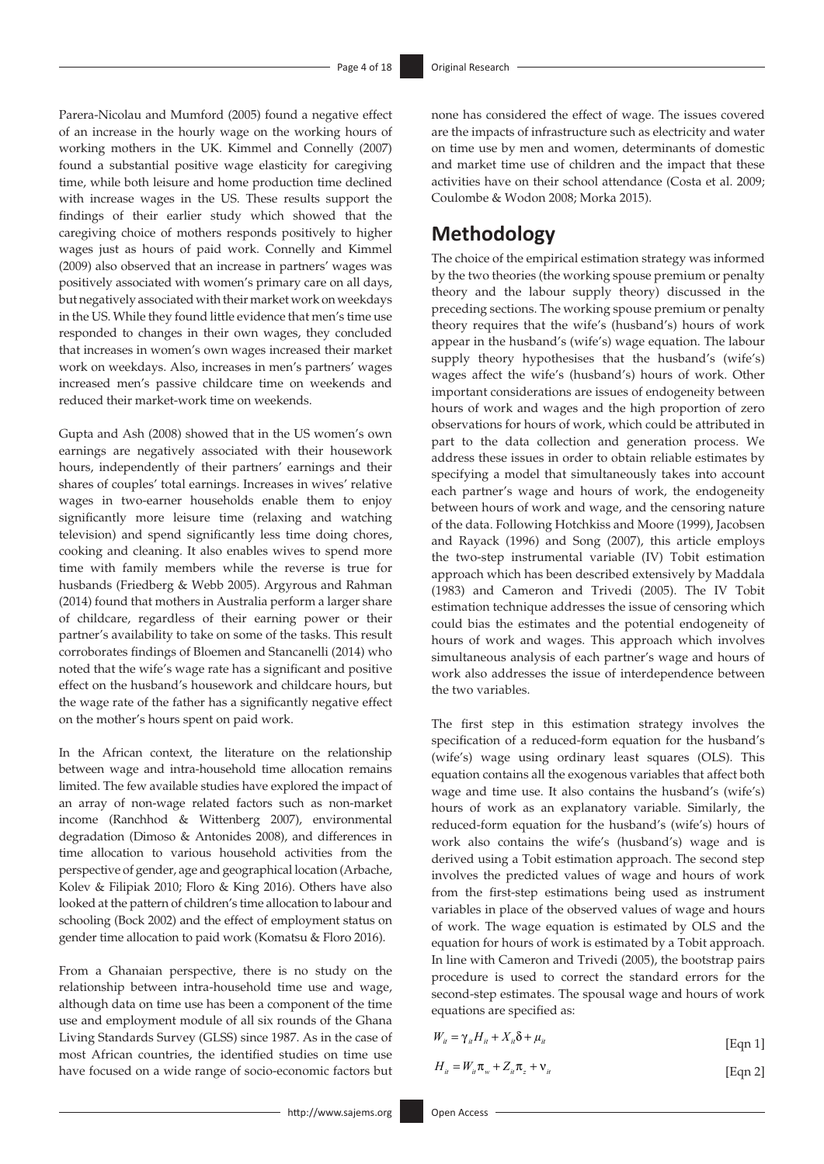Parera-Nicolau and Mumford (2005) found a negative effect of an increase in the hourly wage on the working hours of working mothers in the UK. Kimmel and Connelly (2007) found a substantial positive wage elasticity for caregiving time, while both leisure and home production time declined with increase wages in the US. These results support the findings of their earlier study which showed that the caregiving choice of mothers responds positively to higher wages just as hours of paid work. Connelly and Kimmel (2009) also observed that an increase in partners' wages was positively associated with women's primary care on all days, but negatively associated with their market work on weekdays in the US. While they found little evidence that men's time use responded to changes in their own wages, they concluded that increases in women's own wages increased their market work on weekdays. Also, increases in men's partners' wages increased men's passive childcare time on weekends and reduced their market-work time on weekends.

Gupta and Ash (2008) showed that in the US women's own earnings are negatively associated with their housework hours, independently of their partners' earnings and their shares of couples' total earnings. Increases in wives' relative wages in two-earner households enable them to enjoy significantly more leisure time (relaxing and watching television) and spend significantly less time doing chores, cooking and cleaning. It also enables wives to spend more time with family members while the reverse is true for husbands (Friedberg & Webb 2005). Argyrous and Rahman (2014) found that mothers in Australia perform a larger share of childcare, regardless of their earning power or their partner's availability to take on some of the tasks. This result corroborates findings of Bloemen and Stancanelli (2014) who noted that the wife's wage rate has a significant and positive effect on the husband's housework and childcare hours, but the wage rate of the father has a significantly negative effect on the mother's hours spent on paid work.

In the African context, the literature on the relationship between wage and intra-household time allocation remains limited. The few available studies have explored the impact of an array of non-wage related factors such as non-market income (Ranchhod & Wittenberg 2007), environmental degradation (Dimoso & Antonides 2008), and differences in time allocation to various household activities from the perspective of gender, age and geographical location (Arbache, Kolev & Filipiak 2010; Floro & King 2016). Others have also looked at the pattern of children's time allocation to labour and schooling (Bock 2002) and the effect of employment status on gender time allocation to paid work (Komatsu & Floro 2016).

From a Ghanaian perspective, there is no study on the relationship between intra-household time use and wage, although data on time use has been a component of the time use and employment module of all six rounds of the Ghana Living Standards Survey (GLSS) since 1987. As in the case of most African countries, the identified studies on time use have focused on a wide range of socio-economic factors but none has considered the effect of wage. The issues covered are the impacts of infrastructure such as electricity and water on time use by men and women, determinants of domestic and market time use of children and the impact that these activities have on their school attendance (Costa et al. 2009; Coulombe & Wodon 2008; Morka 2015).

# **Methodology**

The choice of the empirical estimation strategy was informed by the two theories (the working spouse premium or penalty theory and the labour supply theory) discussed in the preceding sections. The working spouse premium or penalty theory requires that the wife's (husband's) hours of work appear in the husband's (wife's) wage equation. The labour supply theory hypothesises that the husband's (wife's) wages affect the wife's (husband's) hours of work. Other important considerations are issues of endogeneity between hours of work and wages and the high proportion of zero observations for hours of work, which could be attributed in part to the data collection and generation process. We address these issues in order to obtain reliable estimates by specifying a model that simultaneously takes into account each partner's wage and hours of work, the endogeneity between hours of work and wage, and the censoring nature of the data. Following Hotchkiss and Moore (1999), Jacobsen and Rayack (1996) and Song (2007), this article employs the two-step instrumental variable (IV) Tobit estimation approach which has been described extensively by Maddala (1983) and Cameron and Trivedi (2005). The IV Tobit estimation technique addresses the issue of censoring which could bias the estimates and the potential endogeneity of hours of work and wages. This approach which involves simultaneous analysis of each partner's wage and hours of work also addresses the issue of interdependence between the two variables.

The first step in this estimation strategy involves the specification of a reduced-form equation for the husband's (wife's) wage using ordinary least squares (OLS). This equation contains all the exogenous variables that affect both wage and time use. It also contains the husband's (wife's) hours of work as an explanatory variable. Similarly, the reduced-form equation for the husband's (wife's) hours of work also contains the wife's (husband's) wage and is derived using a Tobit estimation approach. The second step involves the predicted values of wage and hours of work from the first-step estimations being used as instrument variables in place of the observed values of wage and hours of work. The wage equation is estimated by OLS and the equation for hours of work is estimated by a Tobit approach. In line with Cameron and Trivedi (2005), the bootstrap pairs procedure is used to correct the standard errors for the second-step estimates. The spousal wage and hours of work equations are specified as:

| $W_{it} = \gamma_{it} H_{it} + X_{it} \delta + \mu_{it}$ | [Eqn 1] |
|----------------------------------------------------------|---------|
|                                                          |         |

$$
H_{it} = W_{it} \pi_w + Z_{it} \pi_z + \nu_{it}
$$
 [Eqn 2]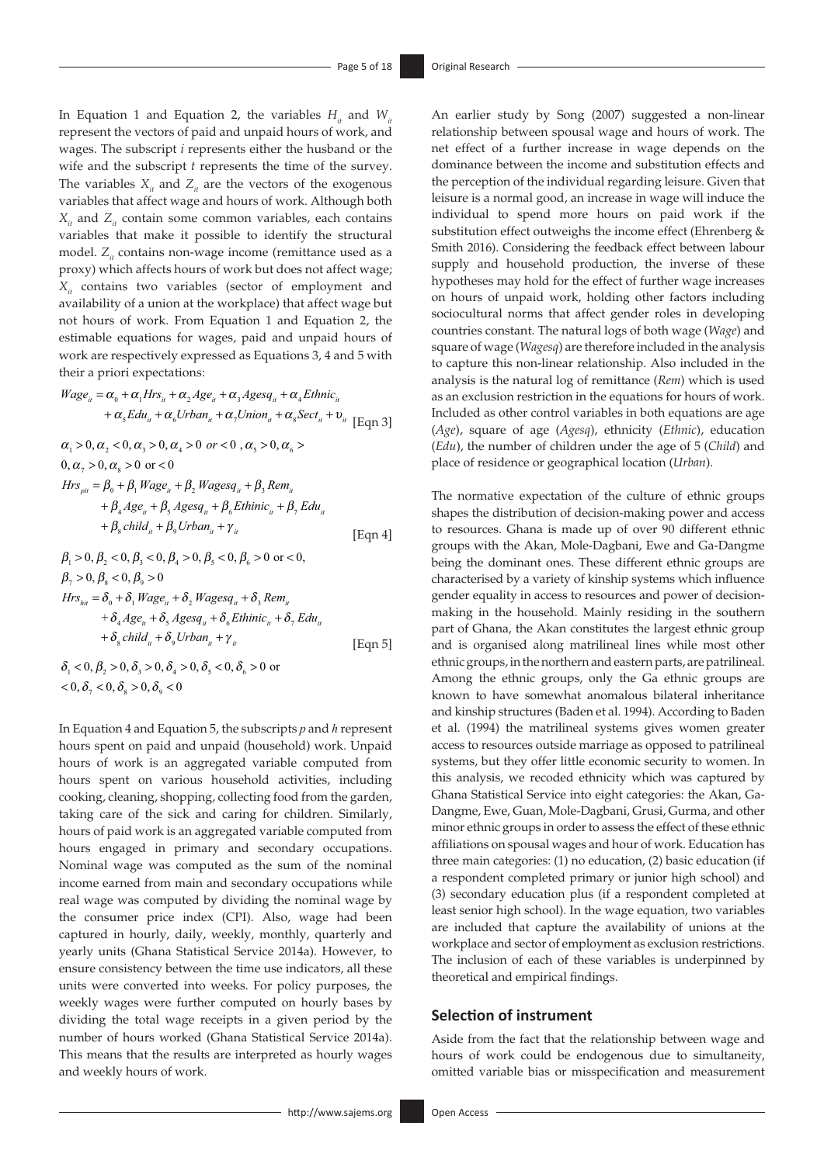In Equation 1 and Equation 2, the variables  $H_u$  and  $W_u$ represent the vectors of paid and unpaid hours of work, and wages. The subscript *i* represents either the husband or the wife and the subscript *t* represents the time of the survey. The variables  $X_{it}$  and  $Z_{it}$  are the vectors of the exogenous variables that affect wage and hours of work. Although both  $X_{it}$  and  $Z_{it}$  contain some common variables, each contains variables that make it possible to identify the structural model. *Z<sub>it</sub>* contains non-wage income (remittance used as a proxy) which affects hours of work but does not affect wage; *X<sub>it</sub>* contains two variables (sector of employment and availability of a union at the workplace) that affect wage but not hours of work. From Equation 1 and Equation 2, the estimable equations for wages, paid and unpaid hours of work are respectively expressed as Equations 3, 4 and 5 with their a priori expectations:

$$
Wage_{ii} = \alpha_0 + \alpha_1 Hrs_{ii} + \alpha_2 Age_{ii} + \alpha_3 Agesq_{ii} + \alpha_4 Ethnic_{ii}
$$
  
+  $\alpha_5 Edu_{ii} + \alpha_6 Urban_{ii} + \alpha_7 Union_{ii} + \alpha_8 Sect_{ii} + \nu_{ii}$  [Eqn 3]

$$
\alpha_{1} > 0, \alpha_{2} < 0, \alpha_{3} > 0, \alpha_{4} > 0 \text{ or } < 0, \alpha_{5} > 0, \alpha_{6} >
$$
  
\n
$$
0, \alpha_{7} > 0, \alpha_{8} > 0 \text{ or } < 0
$$
  
\n
$$
Hrs_{\rho i} = \beta_{0} + \beta_{1} Wage_{i} + \beta_{2} Wagesq_{i} + \beta_{3} Rem_{i}
$$
  
\n
$$
+ \beta_{4} Age_{i} + \beta_{5} Agesa_{i} + \beta_{6}Ethinic_{i} + \beta_{7} Edu_{i}
$$
  
\n
$$
+ \beta_{8} child_{i} + \beta_{9} Urban_{i} + \gamma_{i}
$$
  
\n[Eqn 4]  
\n
$$
\beta_{1} > 0, \beta_{2} < 0, \beta_{3} < 0, \beta_{4} > 0, \beta_{5} < 0, \beta_{6} > 0 \text{ or } < 0,
$$

$$
\beta_{\gamma} > 0, \beta_{s} < 0, \beta_{9} > 0
$$
\n
$$
Hrs_{hi} = \delta_{0} + \delta_{1} Wage_{i} + \delta_{2} Wagesq_{i} + \delta_{3} Rem_{i}
$$
\n
$$
+ \delta_{4} Age_{i} + \delta_{5} Agesq_{i} + \delta_{6} Ethinic_{i} + \delta_{7} Edu_{i}
$$
\n
$$
+ \delta_{8} child_{i} + \delta_{9} Urban_{i} + \gamma_{i}
$$
\n[Eqn 5]

 $\delta_1 < 0, \beta_2 > 0, \delta_3 > 0, \delta_4 > 0, \delta_5 < 0, \delta_6 > 0$  or  $<$  0,  $\delta$ <sub>7</sub>  $<$  0,  $\delta$ <sub>8</sub>  $>$  0,  $\delta$ <sub>9</sub>  $<$  0

In Equation 4 and Equation 5, the subscripts *p* and *h* represent hours spent on paid and unpaid (household) work. Unpaid hours of work is an aggregated variable computed from hours spent on various household activities, including cooking, cleaning, shopping, collecting food from the garden, taking care of the sick and caring for children. Similarly, hours of paid work is an aggregated variable computed from hours engaged in primary and secondary occupations. Nominal wage was computed as the sum of the nominal income earned from main and secondary occupations while real wage was computed by dividing the nominal wage by the consumer price index (CPI). Also, wage had been captured in hourly, daily, weekly, monthly, quarterly and yearly units (Ghana Statistical Service 2014a). However, to ensure consistency between the time use indicators, all these units were converted into weeks. For policy purposes, the weekly wages were further computed on hourly bases by dividing the total wage receipts in a given period by the number of hours worked (Ghana Statistical Service 2014a). This means that the results are interpreted as hourly wages and weekly hours of work.

An earlier study by Song (2007) suggested a non-linear relationship between spousal wage and hours of work. The net effect of a further increase in wage depends on the dominance between the income and substitution effects and the perception of the individual regarding leisure. Given that leisure is a normal good, an increase in wage will induce the individual to spend more hours on paid work if the substitution effect outweighs the income effect (Ehrenberg & Smith 2016). Considering the feedback effect between labour supply and household production, the inverse of these hypotheses may hold for the effect of further wage increases on hours of unpaid work, holding other factors including sociocultural norms that affect gender roles in developing countries constant. The natural logs of both wage (*Wage*) and square of wage (*Wagesq*) are therefore included in the analysis to capture this non-linear relationship. Also included in the analysis is the natural log of remittance (*Rem*) which is used as an exclusion restriction in the equations for hours of work. Included as other control variables in both equations are age (*Age*), square of age (*Agesq*), ethnicity (*Ethnic*), education (*Edu*), the number of children under the age of 5 (*Child*) and place of residence or geographical location (*Urban*).

The normative expectation of the culture of ethnic groups shapes the distribution of decision-making power and access to resources. Ghana is made up of over 90 different ethnic groups with the Akan, Mole-Dagbani, Ewe and Ga-Dangme being the dominant ones. These different ethnic groups are characterised by a variety of kinship systems which influence gender equality in access to resources and power of decisionmaking in the household. Mainly residing in the southern part of Ghana, the Akan constitutes the largest ethnic group and is organised along matrilineal lines while most other ethnic groups, in the northern and eastern parts, are patrilineal. Among the ethnic groups, only the Ga ethnic groups are known to have somewhat anomalous bilateral inheritance and kinship structures (Baden et al. 1994). According to Baden et al. (1994) the matrilineal systems gives women greater access to resources outside marriage as opposed to patrilineal systems, but they offer little economic security to women. In this analysis, we recoded ethnicity which was captured by Ghana Statistical Service into eight categories: the Akan, Ga-Dangme, Ewe, Guan, Mole-Dagbani, Grusi, Gurma, and other minor ethnic groups in order to assess the effect of these ethnic affiliations on spousal wages and hour of work. Education has three main categories: (1) no education, (2) basic education (if a respondent completed primary or junior high school) and (3) secondary education plus (if a respondent completed at least senior high school). In the wage equation, two variables are included that capture the availability of unions at the workplace and sector of employment as exclusion restrictions. The inclusion of each of these variables is underpinned by theoretical and empirical findings.

#### **Selection of instrument**

Aside from the fact that the relationship between wage and hours of work could be endogenous due to simultaneity, omitted variable bias or misspecification and measurement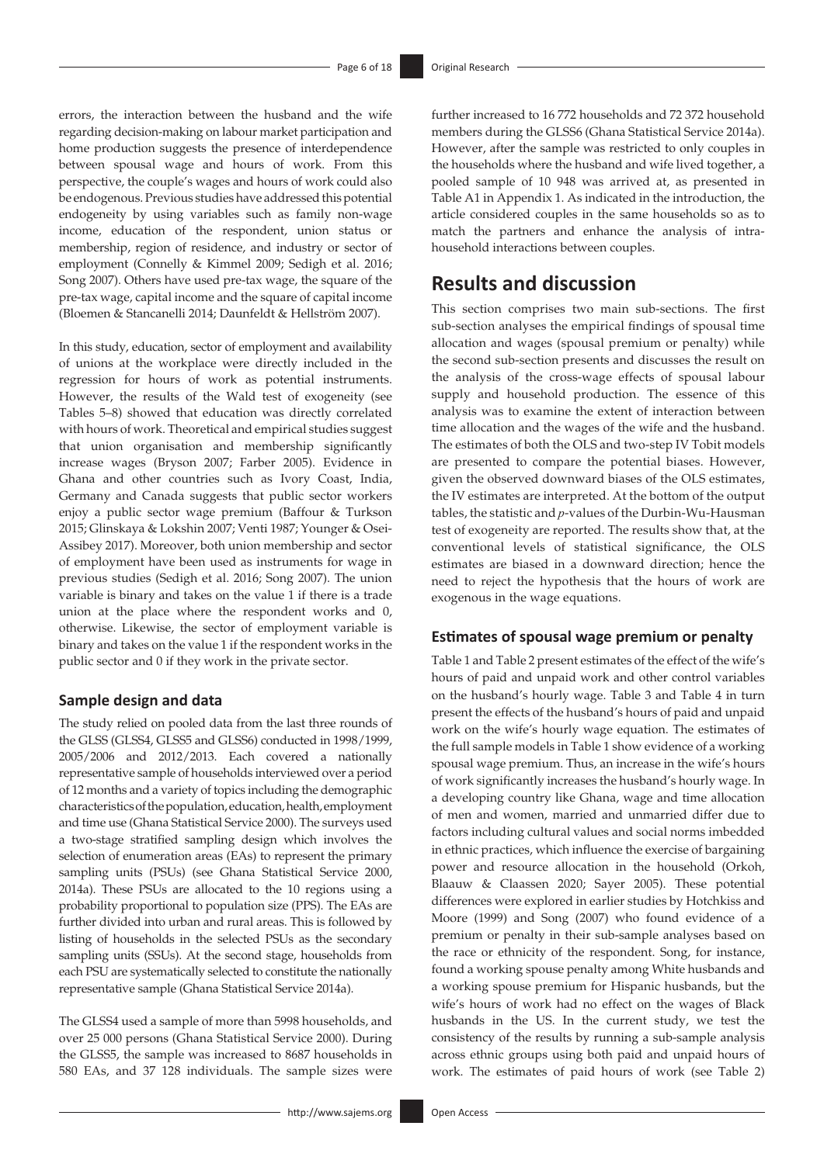errors, the interaction between the husband and the wife regarding decision-making on labour market participation and home production suggests the presence of interdependence between spousal wage and hours of work. From this perspective, the couple's wages and hours of work could also be endogenous. Previous studies have addressed this potential endogeneity by using variables such as family non-wage income, education of the respondent, union status or membership, region of residence, and industry or sector of employment (Connelly & Kimmel 2009; Sedigh et al. 2016; Song 2007). Others have used pre-tax wage, the square of the pre-tax wage, capital income and the square of capital income (Bloemen & Stancanelli 2014; Daunfeldt & Hellström 2007).

In this study, education, sector of employment and availability of unions at the workplace were directly included in the regression for hours of work as potential instruments. However, the results of the Wald test of exogeneity (see Tables 5–8) showed that education was directly correlated with hours of work. Theoretical and empirical studies suggest that union organisation and membership significantly increase wages (Bryson 2007; Farber 2005). Evidence in Ghana and other countries such as Ivory Coast, India, Germany and Canada suggests that public sector workers enjoy a public sector wage premium (Baffour & Turkson 2015; Glinskaya & Lokshin 2007; Venti 1987; Younger & Osei-Assibey 2017). Moreover, both union membership and sector of employment have been used as instruments for wage in previous studies (Sedigh et al. 2016; Song 2007). The union variable is binary and takes on the value 1 if there is a trade union at the place where the respondent works and 0, otherwise. Likewise, the sector of employment variable is binary and takes on the value 1 if the respondent works in the public sector and 0 if they work in the private sector.

# **Sample design and data**

The study relied on pooled data from the last three rounds of the GLSS (GLSS4, GLSS5 and GLSS6) conducted in 1998/1999, 2005/2006 and 2012/2013. Each covered a nationally representative sample of households interviewed over a period of 12 months and a variety of topics including the demographic characteristics of the population, education, health, employment and time use (Ghana Statistical Service 2000). The surveys used a two-stage stratified sampling design which involves the selection of enumeration areas (EAs) to represent the primary sampling units (PSUs) (see Ghana Statistical Service 2000, 2014a). These PSUs are allocated to the 10 regions using a probability proportional to population size (PPS). The EAs are further divided into urban and rural areas. This is followed by listing of households in the selected PSUs as the secondary sampling units (SSUs). At the second stage, households from each PSU are systematically selected to constitute the nationally representative sample (Ghana Statistical Service 2014a).

The GLSS4 used a sample of more than 5998 households, and over 25 000 persons (Ghana Statistical Service 2000). During the GLSS5, the sample was increased to 8687 households in 580 EAs, and 37 128 individuals. The sample sizes were

further increased to 16 772 households and 72 372 household members during the GLSS6 (Ghana Statistical Service 2014a). However, after the sample was restricted to only couples in the households where the husband and wife lived together, a pooled sample of 10 948 was arrived at, as presented in Table A1 in Appendix 1. As indicated in the introduction, the article considered couples in the same households so as to match the partners and enhance the analysis of intrahousehold interactions between couples.

# **Results and discussion**

This section comprises two main sub-sections. The first sub-section analyses the empirical findings of spousal time allocation and wages (spousal premium or penalty) while the second sub-section presents and discusses the result on the analysis of the cross-wage effects of spousal labour supply and household production. The essence of this analysis was to examine the extent of interaction between time allocation and the wages of the wife and the husband. The estimates of both the OLS and two-step IV Tobit models are presented to compare the potential biases. However, given the observed downward biases of the OLS estimates, the IV estimates are interpreted. At the bottom of the output tables, the statistic and *p*-values of the Durbin-Wu-Hausman test of exogeneity are reported. The results show that, at the conventional levels of statistical significance, the OLS estimates are biased in a downward direction; hence the need to reject the hypothesis that the hours of work are exogenous in the wage equations.

### **Estimates of spousal wage premium or penalty**

Table 1 and Table 2 present estimates of the effect of the wife's hours of paid and unpaid work and other control variables on the husband's hourly wage. Table 3 and Table 4 in turn present the effects of the husband's hours of paid and unpaid work on the wife's hourly wage equation. The estimates of the full sample models in Table 1 show evidence of a working spousal wage premium. Thus, an increase in the wife's hours of work significantly increases the husband's hourly wage. In a developing country like Ghana, wage and time allocation of men and women, married and unmarried differ due to factors including cultural values and social norms imbedded in ethnic practices, which influence the exercise of bargaining power and resource allocation in the household (Orkoh, Blaauw & Claassen 2020; Sayer 2005). These potential differences were explored in earlier studies by Hotchkiss and Moore (1999) and Song (2007) who found evidence of a premium or penalty in their sub-sample analyses based on the race or ethnicity of the respondent. Song, for instance, found a working spouse penalty among White husbands and a working spouse premium for Hispanic husbands, but the wife's hours of work had no effect on the wages of Black husbands in the US. In the current study, we test the consistency of the results by running a sub-sample analysis across ethnic groups using both paid and unpaid hours of work. The estimates of paid hours of work (see Table 2)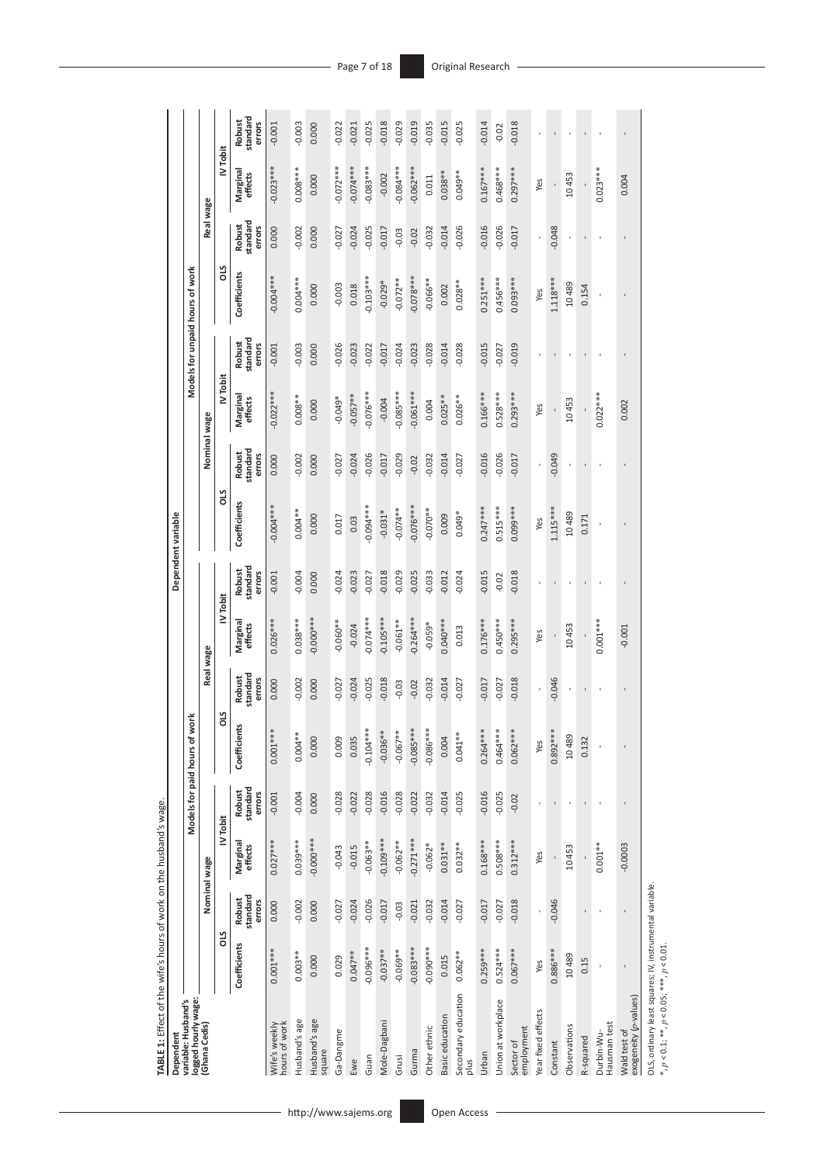| standard<br>Robust<br>$-0.018$<br>$-0.018$<br>errors<br>$-0.003$<br>$-0.025$<br>$-0.029$<br>$-0.019$<br>$-0.035$<br>$-0.015$<br>$-0.025$<br>$-0.014$<br>$-0.022$<br>$-0.001$<br>0.000<br>$-0.021$<br>$-0.02$<br>IV Tobit<br>$-0.072***$<br>$-0.074***$<br>$0.083***$<br>$-0.084***$<br>$0.062***$<br>$-0.023***$<br>$0.008***$<br>$0.167***$<br>$0.468***$<br>$0.297***$<br>$0.023***$<br>Marginal<br>$0.038***$<br>$0.049**$<br>effects<br>$-0.002$<br>10453<br>0.000<br>0.004<br>0.011<br>Yes<br>Real wage<br>standard<br><b>Robust</b><br>$-0.026$<br>$-0.016$<br>$-0.026$<br>errors<br>$-0.002$<br>$-0.027$<br>$-0.024$<br>$-0.025$<br>$-0.014$<br>$-0.017$<br>$-0.048$<br>0.000<br>0.000<br>$-0.017$<br>$-0.032$<br>$-0.03$<br>0.02<br><b>SIO</b><br>Coefficients<br>$-0.004***$<br>$-0.103***$<br>$0.078***$<br>$0.251***$<br>$0.456***$<br>$0.093***$<br>$0.004***$<br>$0.066***$<br>$1.118***$<br>$-0.072**$<br>$0.028***$<br>$-0.029*$<br>10489<br>$-0.003$<br>0.018<br>0.154<br>0.000<br>0.002<br>Yes<br>standard<br>Robust<br>errors<br>$-0.003$<br>$-0.026$<br>$-0.024$<br>$-0.028$<br>$-0.015$<br>$-0.019$<br>$-0.023$<br>$-0.017$<br>$-0.023$<br>$-0.014$<br>$-0.028$<br>$-0.022$<br>$-0.027$<br>0.000<br>$-0.001$<br>IV Tobit<br>$0.022***$<br>$0.076***$<br>$-0.085***$<br>$0.061***$<br>$0.166***$<br>$0.528***$<br>$0.293***$<br>$0.022***$<br>$-0.057**$<br>Marginal<br>$0.008***$<br>$0.026***$<br>$0.025***$<br>$-0.049*$<br>effects<br>10453<br>$-0.004$<br>0.000<br>0.004<br>0.002<br>Yes<br>Nominal wage<br>standard<br>Robust<br>$-0.016$<br>$-0.026$<br>$-0.026$<br>$-0.049$<br>errors<br>0.002<br>$-0.017$<br>$-0.029$<br>$-0.014$<br>$-0.017$<br>$-0.027$<br>$-0.024$<br>$-0.032$<br>0.000<br>0.000<br>$-0.027$<br>$-0.02$<br>SIO<br>Coefficients<br>$-0.004***$<br>$0.076***$<br>$0.247***$<br>$0.515***$<br>0.099***<br>$0.094***$<br>$1.115***$<br>$-0.074**$<br>$-0.070**$<br>$0.004**$<br>$-0.031*$<br>10489<br>$0.049*$<br>0.009<br>0.000<br>0.017<br>0.171<br>0.03<br>Yes<br>standard<br>Robust<br>errors<br>$-0.004$<br>$-0.018$<br>$-0.029$<br>$-0.015$<br>$-0.018$<br>$-0.024$<br>$-0.023$<br>$-0.025$<br>$-0.033$<br>$-0.012$<br>$-0.024$<br>$-0.001$<br>0.000<br>$-0.027$<br>$-0.02$<br>IV Tobit<br>$-0.105***$<br>-0.000 ***<br>$0.074***$<br>$0.264***$<br>$0.026***$<br>$0.038***$<br>$0.040***$<br>$0.176***$<br>$0.450***$<br>$0.295***$<br>$0.001***$<br>$-0.060**$<br>$-0.061**$<br>Marginal<br>$-0.059*$<br>effects<br>$-0.024$<br>10453<br>$-0.001$<br>0.013<br>Yes<br>Real wage<br>standard<br><b>Robust</b><br>$-0.017$<br>$-0.018$<br>$-0.046$<br>errors<br>$-0.002$<br>$-0.027$<br>$-0.024$<br>$-0.025$<br>$-0.018$<br>$-0.014$<br>$-0.032$<br>$-0.027$<br>$-0.027$<br>0.000<br>0.000<br>$-0.03$<br>$-0.02$<br>STO<br>చి<br>$-0.085***$<br>$0.104***$<br>$0.086***$<br>$-0.036**$<br>$0.264***$<br>Coefficien<br>$0.004***$<br>$-0.067**$<br>$0.041***$<br>$0.464***$<br>$0.062***$<br>$0.892***$<br>$0.001***$<br>10489<br>0.004<br>0.035<br>0.009<br>0.000<br>0.132<br>Yes<br>standard<br>Robust<br>$-0.016$<br>$-0.016$<br>errors<br>$-0.004$<br>$-0.028$<br>$-0.028$<br>$-0.028$<br>$-0.014$<br>$-0.025$<br>$-0.025$<br>$-0.022$<br>$-0.001$<br>$-0.022$<br>$-0.032$<br>0.000<br>$-0.02$<br>ı<br>ı<br>IV Tobit<br>$-0.000$ ***<br>$-0.109***$<br>$-0.271***$<br>0.039***<br>$0.168***$<br>$0.508***$<br>$0.312***$<br>$0.027***$<br>$-0.062**$<br>$-0.063**$<br>Marginal<br>$0.031***$<br>$0.032***$<br>$0.001***$<br>$-0.0003$<br>$-0.062*$<br>effects<br>10453<br>$-0.043$<br>$-0.015$<br>Yes<br>Nominal wage<br>standard<br>Robust<br>$-0.026$<br>$-0.017$<br>$-0.046$<br>errors<br>$-0.002$<br>$-0.024$<br>$-0.014$<br>$-0.018$<br>$-0.027$<br>$-0.017$<br>$-0.027$<br>0.000<br>$-0.021$<br>$-0.032$<br>$-0.027$<br>0.000<br>$-0.03$<br>ï<br>ı<br>ı<br>STO<br>Coefficients<br>$-0.096***$<br>$-0.083***$<br>$-0.090***$<br>$0.259***$<br>$0.524***$<br>$0.067***$<br>$0.001***$<br>$-0.037**$<br>$0.886***$<br>$-0.069**$<br>$0.003***$<br>$0.047**$<br>$0.062***$<br>10489<br>0.015<br>0.029<br>0.000<br>0.15<br>Yes | logged hourly wage:<br>variable: Husband's |  | Models for paid hours of | work |  | Dependent variable |  | Models for unpaid hours of work |  |  |
|------------------------------------------------------------------------------------------------------------------------------------------------------------------------------------------------------------------------------------------------------------------------------------------------------------------------------------------------------------------------------------------------------------------------------------------------------------------------------------------------------------------------------------------------------------------------------------------------------------------------------------------------------------------------------------------------------------------------------------------------------------------------------------------------------------------------------------------------------------------------------------------------------------------------------------------------------------------------------------------------------------------------------------------------------------------------------------------------------------------------------------------------------------------------------------------------------------------------------------------------------------------------------------------------------------------------------------------------------------------------------------------------------------------------------------------------------------------------------------------------------------------------------------------------------------------------------------------------------------------------------------------------------------------------------------------------------------------------------------------------------------------------------------------------------------------------------------------------------------------------------------------------------------------------------------------------------------------------------------------------------------------------------------------------------------------------------------------------------------------------------------------------------------------------------------------------------------------------------------------------------------------------------------------------------------------------------------------------------------------------------------------------------------------------------------------------------------------------------------------------------------------------------------------------------------------------------------------------------------------------------------------------------------------------------------------------------------------------------------------------------------------------------------------------------------------------------------------------------------------------------------------------------------------------------------------------------------------------------------------------------------------------------------------------------------------------------------------------------------------------------------------------------------------------------------------------------------------------------------------------------------------------------------------------------------------------------------------------------------------------------------------------------------------------------------------------------------------------------------------------------------------------------------------------------------------------------------------------------------------------------------------------------------------------------------------------------------------------------------------------------------------------------------------------------------------------------------------------------------------------------------------------------------------------------------------------------------------------------------------------------------------------------------------------------------------------------------|--------------------------------------------|--|--------------------------|------|--|--------------------|--|---------------------------------|--|--|
|                                                                                                                                                                                                                                                                                                                                                                                                                                                                                                                                                                                                                                                                                                                                                                                                                                                                                                                                                                                                                                                                                                                                                                                                                                                                                                                                                                                                                                                                                                                                                                                                                                                                                                                                                                                                                                                                                                                                                                                                                                                                                                                                                                                                                                                                                                                                                                                                                                                                                                                                                                                                                                                                                                                                                                                                                                                                                                                                                                                                                                                                                                                                                                                                                                                                                                                                                                                                                                                                                                                                                                                                                                                                                                                                                                                                                                                                                                                                                                                                                                                                                    |                                            |  |                          |      |  |                    |  |                                 |  |  |
|                                                                                                                                                                                                                                                                                                                                                                                                                                                                                                                                                                                                                                                                                                                                                                                                                                                                                                                                                                                                                                                                                                                                                                                                                                                                                                                                                                                                                                                                                                                                                                                                                                                                                                                                                                                                                                                                                                                                                                                                                                                                                                                                                                                                                                                                                                                                                                                                                                                                                                                                                                                                                                                                                                                                                                                                                                                                                                                                                                                                                                                                                                                                                                                                                                                                                                                                                                                                                                                                                                                                                                                                                                                                                                                                                                                                                                                                                                                                                                                                                                                                                    |                                            |  |                          |      |  |                    |  |                                 |  |  |
|                                                                                                                                                                                                                                                                                                                                                                                                                                                                                                                                                                                                                                                                                                                                                                                                                                                                                                                                                                                                                                                                                                                                                                                                                                                                                                                                                                                                                                                                                                                                                                                                                                                                                                                                                                                                                                                                                                                                                                                                                                                                                                                                                                                                                                                                                                                                                                                                                                                                                                                                                                                                                                                                                                                                                                                                                                                                                                                                                                                                                                                                                                                                                                                                                                                                                                                                                                                                                                                                                                                                                                                                                                                                                                                                                                                                                                                                                                                                                                                                                                                                                    |                                            |  |                          |      |  |                    |  |                                 |  |  |
|                                                                                                                                                                                                                                                                                                                                                                                                                                                                                                                                                                                                                                                                                                                                                                                                                                                                                                                                                                                                                                                                                                                                                                                                                                                                                                                                                                                                                                                                                                                                                                                                                                                                                                                                                                                                                                                                                                                                                                                                                                                                                                                                                                                                                                                                                                                                                                                                                                                                                                                                                                                                                                                                                                                                                                                                                                                                                                                                                                                                                                                                                                                                                                                                                                                                                                                                                                                                                                                                                                                                                                                                                                                                                                                                                                                                                                                                                                                                                                                                                                                                                    |                                            |  |                          |      |  |                    |  |                                 |  |  |
|                                                                                                                                                                                                                                                                                                                                                                                                                                                                                                                                                                                                                                                                                                                                                                                                                                                                                                                                                                                                                                                                                                                                                                                                                                                                                                                                                                                                                                                                                                                                                                                                                                                                                                                                                                                                                                                                                                                                                                                                                                                                                                                                                                                                                                                                                                                                                                                                                                                                                                                                                                                                                                                                                                                                                                                                                                                                                                                                                                                                                                                                                                                                                                                                                                                                                                                                                                                                                                                                                                                                                                                                                                                                                                                                                                                                                                                                                                                                                                                                                                                                                    |                                            |  |                          |      |  |                    |  |                                 |  |  |
|                                                                                                                                                                                                                                                                                                                                                                                                                                                                                                                                                                                                                                                                                                                                                                                                                                                                                                                                                                                                                                                                                                                                                                                                                                                                                                                                                                                                                                                                                                                                                                                                                                                                                                                                                                                                                                                                                                                                                                                                                                                                                                                                                                                                                                                                                                                                                                                                                                                                                                                                                                                                                                                                                                                                                                                                                                                                                                                                                                                                                                                                                                                                                                                                                                                                                                                                                                                                                                                                                                                                                                                                                                                                                                                                                                                                                                                                                                                                                                                                                                                                                    |                                            |  |                          |      |  |                    |  |                                 |  |  |
|                                                                                                                                                                                                                                                                                                                                                                                                                                                                                                                                                                                                                                                                                                                                                                                                                                                                                                                                                                                                                                                                                                                                                                                                                                                                                                                                                                                                                                                                                                                                                                                                                                                                                                                                                                                                                                                                                                                                                                                                                                                                                                                                                                                                                                                                                                                                                                                                                                                                                                                                                                                                                                                                                                                                                                                                                                                                                                                                                                                                                                                                                                                                                                                                                                                                                                                                                                                                                                                                                                                                                                                                                                                                                                                                                                                                                                                                                                                                                                                                                                                                                    |                                            |  |                          |      |  |                    |  |                                 |  |  |
|                                                                                                                                                                                                                                                                                                                                                                                                                                                                                                                                                                                                                                                                                                                                                                                                                                                                                                                                                                                                                                                                                                                                                                                                                                                                                                                                                                                                                                                                                                                                                                                                                                                                                                                                                                                                                                                                                                                                                                                                                                                                                                                                                                                                                                                                                                                                                                                                                                                                                                                                                                                                                                                                                                                                                                                                                                                                                                                                                                                                                                                                                                                                                                                                                                                                                                                                                                                                                                                                                                                                                                                                                                                                                                                                                                                                                                                                                                                                                                                                                                                                                    |                                            |  |                          |      |  |                    |  |                                 |  |  |
|                                                                                                                                                                                                                                                                                                                                                                                                                                                                                                                                                                                                                                                                                                                                                                                                                                                                                                                                                                                                                                                                                                                                                                                                                                                                                                                                                                                                                                                                                                                                                                                                                                                                                                                                                                                                                                                                                                                                                                                                                                                                                                                                                                                                                                                                                                                                                                                                                                                                                                                                                                                                                                                                                                                                                                                                                                                                                                                                                                                                                                                                                                                                                                                                                                                                                                                                                                                                                                                                                                                                                                                                                                                                                                                                                                                                                                                                                                                                                                                                                                                                                    |                                            |  |                          |      |  |                    |  |                                 |  |  |
|                                                                                                                                                                                                                                                                                                                                                                                                                                                                                                                                                                                                                                                                                                                                                                                                                                                                                                                                                                                                                                                                                                                                                                                                                                                                                                                                                                                                                                                                                                                                                                                                                                                                                                                                                                                                                                                                                                                                                                                                                                                                                                                                                                                                                                                                                                                                                                                                                                                                                                                                                                                                                                                                                                                                                                                                                                                                                                                                                                                                                                                                                                                                                                                                                                                                                                                                                                                                                                                                                                                                                                                                                                                                                                                                                                                                                                                                                                                                                                                                                                                                                    |                                            |  |                          |      |  |                    |  |                                 |  |  |
|                                                                                                                                                                                                                                                                                                                                                                                                                                                                                                                                                                                                                                                                                                                                                                                                                                                                                                                                                                                                                                                                                                                                                                                                                                                                                                                                                                                                                                                                                                                                                                                                                                                                                                                                                                                                                                                                                                                                                                                                                                                                                                                                                                                                                                                                                                                                                                                                                                                                                                                                                                                                                                                                                                                                                                                                                                                                                                                                                                                                                                                                                                                                                                                                                                                                                                                                                                                                                                                                                                                                                                                                                                                                                                                                                                                                                                                                                                                                                                                                                                                                                    |                                            |  |                          |      |  |                    |  |                                 |  |  |
|                                                                                                                                                                                                                                                                                                                                                                                                                                                                                                                                                                                                                                                                                                                                                                                                                                                                                                                                                                                                                                                                                                                                                                                                                                                                                                                                                                                                                                                                                                                                                                                                                                                                                                                                                                                                                                                                                                                                                                                                                                                                                                                                                                                                                                                                                                                                                                                                                                                                                                                                                                                                                                                                                                                                                                                                                                                                                                                                                                                                                                                                                                                                                                                                                                                                                                                                                                                                                                                                                                                                                                                                                                                                                                                                                                                                                                                                                                                                                                                                                                                                                    |                                            |  |                          |      |  |                    |  |                                 |  |  |
|                                                                                                                                                                                                                                                                                                                                                                                                                                                                                                                                                                                                                                                                                                                                                                                                                                                                                                                                                                                                                                                                                                                                                                                                                                                                                                                                                                                                                                                                                                                                                                                                                                                                                                                                                                                                                                                                                                                                                                                                                                                                                                                                                                                                                                                                                                                                                                                                                                                                                                                                                                                                                                                                                                                                                                                                                                                                                                                                                                                                                                                                                                                                                                                                                                                                                                                                                                                                                                                                                                                                                                                                                                                                                                                                                                                                                                                                                                                                                                                                                                                                                    |                                            |  |                          |      |  |                    |  |                                 |  |  |
|                                                                                                                                                                                                                                                                                                                                                                                                                                                                                                                                                                                                                                                                                                                                                                                                                                                                                                                                                                                                                                                                                                                                                                                                                                                                                                                                                                                                                                                                                                                                                                                                                                                                                                                                                                                                                                                                                                                                                                                                                                                                                                                                                                                                                                                                                                                                                                                                                                                                                                                                                                                                                                                                                                                                                                                                                                                                                                                                                                                                                                                                                                                                                                                                                                                                                                                                                                                                                                                                                                                                                                                                                                                                                                                                                                                                                                                                                                                                                                                                                                                                                    |                                            |  |                          |      |  |                    |  |                                 |  |  |
|                                                                                                                                                                                                                                                                                                                                                                                                                                                                                                                                                                                                                                                                                                                                                                                                                                                                                                                                                                                                                                                                                                                                                                                                                                                                                                                                                                                                                                                                                                                                                                                                                                                                                                                                                                                                                                                                                                                                                                                                                                                                                                                                                                                                                                                                                                                                                                                                                                                                                                                                                                                                                                                                                                                                                                                                                                                                                                                                                                                                                                                                                                                                                                                                                                                                                                                                                                                                                                                                                                                                                                                                                                                                                                                                                                                                                                                                                                                                                                                                                                                                                    |                                            |  |                          |      |  |                    |  |                                 |  |  |
|                                                                                                                                                                                                                                                                                                                                                                                                                                                                                                                                                                                                                                                                                                                                                                                                                                                                                                                                                                                                                                                                                                                                                                                                                                                                                                                                                                                                                                                                                                                                                                                                                                                                                                                                                                                                                                                                                                                                                                                                                                                                                                                                                                                                                                                                                                                                                                                                                                                                                                                                                                                                                                                                                                                                                                                                                                                                                                                                                                                                                                                                                                                                                                                                                                                                                                                                                                                                                                                                                                                                                                                                                                                                                                                                                                                                                                                                                                                                                                                                                                                                                    |                                            |  |                          |      |  |                    |  |                                 |  |  |
|                                                                                                                                                                                                                                                                                                                                                                                                                                                                                                                                                                                                                                                                                                                                                                                                                                                                                                                                                                                                                                                                                                                                                                                                                                                                                                                                                                                                                                                                                                                                                                                                                                                                                                                                                                                                                                                                                                                                                                                                                                                                                                                                                                                                                                                                                                                                                                                                                                                                                                                                                                                                                                                                                                                                                                                                                                                                                                                                                                                                                                                                                                                                                                                                                                                                                                                                                                                                                                                                                                                                                                                                                                                                                                                                                                                                                                                                                                                                                                                                                                                                                    |                                            |  |                          |      |  |                    |  |                                 |  |  |
|                                                                                                                                                                                                                                                                                                                                                                                                                                                                                                                                                                                                                                                                                                                                                                                                                                                                                                                                                                                                                                                                                                                                                                                                                                                                                                                                                                                                                                                                                                                                                                                                                                                                                                                                                                                                                                                                                                                                                                                                                                                                                                                                                                                                                                                                                                                                                                                                                                                                                                                                                                                                                                                                                                                                                                                                                                                                                                                                                                                                                                                                                                                                                                                                                                                                                                                                                                                                                                                                                                                                                                                                                                                                                                                                                                                                                                                                                                                                                                                                                                                                                    |                                            |  |                          |      |  |                    |  |                                 |  |  |
|                                                                                                                                                                                                                                                                                                                                                                                                                                                                                                                                                                                                                                                                                                                                                                                                                                                                                                                                                                                                                                                                                                                                                                                                                                                                                                                                                                                                                                                                                                                                                                                                                                                                                                                                                                                                                                                                                                                                                                                                                                                                                                                                                                                                                                                                                                                                                                                                                                                                                                                                                                                                                                                                                                                                                                                                                                                                                                                                                                                                                                                                                                                                                                                                                                                                                                                                                                                                                                                                                                                                                                                                                                                                                                                                                                                                                                                                                                                                                                                                                                                                                    |                                            |  |                          |      |  |                    |  |                                 |  |  |
|                                                                                                                                                                                                                                                                                                                                                                                                                                                                                                                                                                                                                                                                                                                                                                                                                                                                                                                                                                                                                                                                                                                                                                                                                                                                                                                                                                                                                                                                                                                                                                                                                                                                                                                                                                                                                                                                                                                                                                                                                                                                                                                                                                                                                                                                                                                                                                                                                                                                                                                                                                                                                                                                                                                                                                                                                                                                                                                                                                                                                                                                                                                                                                                                                                                                                                                                                                                                                                                                                                                                                                                                                                                                                                                                                                                                                                                                                                                                                                                                                                                                                    |                                            |  |                          |      |  |                    |  |                                 |  |  |
|                                                                                                                                                                                                                                                                                                                                                                                                                                                                                                                                                                                                                                                                                                                                                                                                                                                                                                                                                                                                                                                                                                                                                                                                                                                                                                                                                                                                                                                                                                                                                                                                                                                                                                                                                                                                                                                                                                                                                                                                                                                                                                                                                                                                                                                                                                                                                                                                                                                                                                                                                                                                                                                                                                                                                                                                                                                                                                                                                                                                                                                                                                                                                                                                                                                                                                                                                                                                                                                                                                                                                                                                                                                                                                                                                                                                                                                                                                                                                                                                                                                                                    |                                            |  |                          |      |  |                    |  |                                 |  |  |
|                                                                                                                                                                                                                                                                                                                                                                                                                                                                                                                                                                                                                                                                                                                                                                                                                                                                                                                                                                                                                                                                                                                                                                                                                                                                                                                                                                                                                                                                                                                                                                                                                                                                                                                                                                                                                                                                                                                                                                                                                                                                                                                                                                                                                                                                                                                                                                                                                                                                                                                                                                                                                                                                                                                                                                                                                                                                                                                                                                                                                                                                                                                                                                                                                                                                                                                                                                                                                                                                                                                                                                                                                                                                                                                                                                                                                                                                                                                                                                                                                                                                                    |                                            |  |                          |      |  |                    |  |                                 |  |  |
|                                                                                                                                                                                                                                                                                                                                                                                                                                                                                                                                                                                                                                                                                                                                                                                                                                                                                                                                                                                                                                                                                                                                                                                                                                                                                                                                                                                                                                                                                                                                                                                                                                                                                                                                                                                                                                                                                                                                                                                                                                                                                                                                                                                                                                                                                                                                                                                                                                                                                                                                                                                                                                                                                                                                                                                                                                                                                                                                                                                                                                                                                                                                                                                                                                                                                                                                                                                                                                                                                                                                                                                                                                                                                                                                                                                                                                                                                                                                                                                                                                                                                    |                                            |  |                          |      |  |                    |  |                                 |  |  |
|                                                                                                                                                                                                                                                                                                                                                                                                                                                                                                                                                                                                                                                                                                                                                                                                                                                                                                                                                                                                                                                                                                                                                                                                                                                                                                                                                                                                                                                                                                                                                                                                                                                                                                                                                                                                                                                                                                                                                                                                                                                                                                                                                                                                                                                                                                                                                                                                                                                                                                                                                                                                                                                                                                                                                                                                                                                                                                                                                                                                                                                                                                                                                                                                                                                                                                                                                                                                                                                                                                                                                                                                                                                                                                                                                                                                                                                                                                                                                                                                                                                                                    |                                            |  |                          |      |  |                    |  |                                 |  |  |

TABLE 1: Effect of the wife's hours of work on the husband's wage. **TABLE 1:** Effect of the wife's hours of work on the husband's wage.

OLS, ordinary least squares; IV, instrumental variable. \* , *p* < 0.1; \*\*, *p* < 0.05; \*\*\*, *p* < 0.01.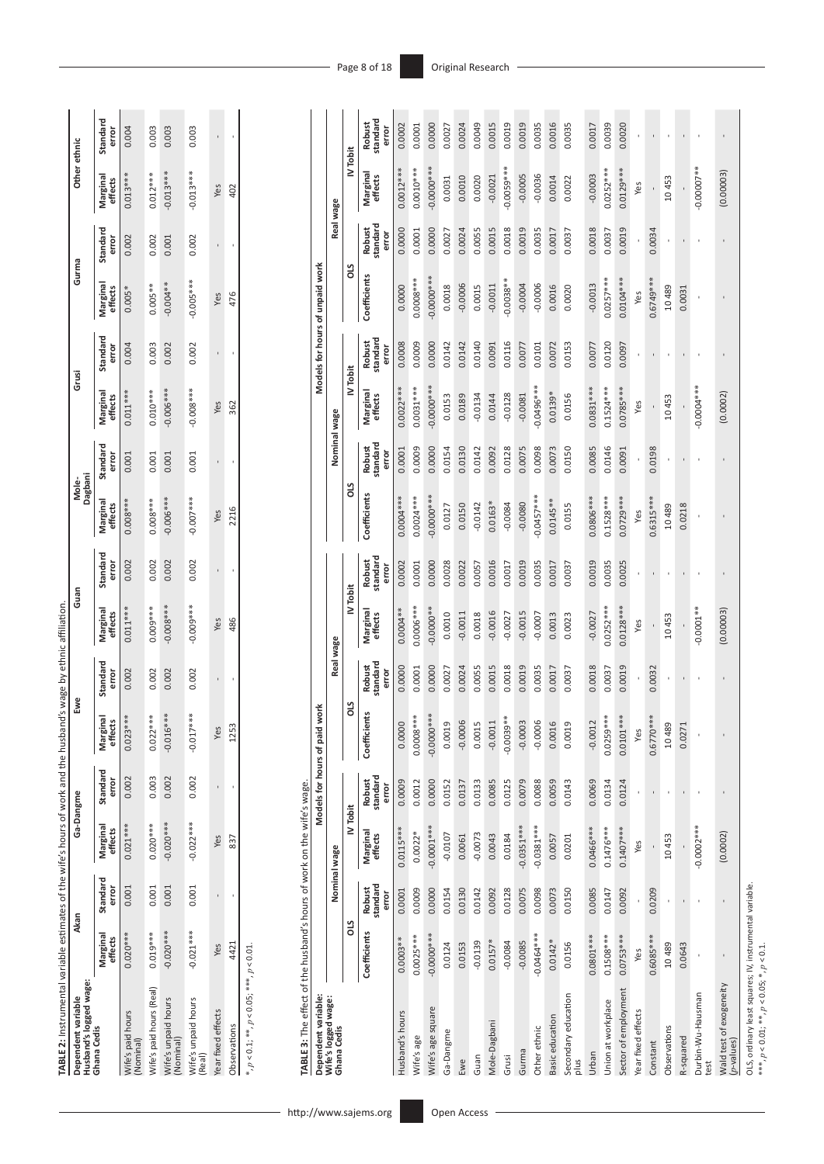| TABLE 2: Instrumental variable estimates of the wife's hours of work and the husband's wage by ethnic affiliation |                     |                   |                     |                   |                     |                   |                     |                   |                     |                   |                     |                   |                     |                   |                     |                   |
|-------------------------------------------------------------------------------------------------------------------|---------------------|-------------------|---------------------|-------------------|---------------------|-------------------|---------------------|-------------------|---------------------|-------------------|---------------------|-------------------|---------------------|-------------------|---------------------|-------------------|
| Husband's logged wage:<br>Dependent variable                                                                      | Akan                |                   | Ga-Dangme           |                   | Ewe                 |                   | Guan                |                   | Mole-<br>Dagbani    |                   | Grusi               |                   | Gurma               |                   | Other ethnic        |                   |
| Ghana Cedis                                                                                                       | Marginal<br>effects | Standard<br>error | Marginal<br>effects | Standard<br>error | Marginal<br>effects | Standard<br>error | Marginal<br>effects | Standard<br>error | Marginal<br>effects | Standard<br>error | Marginal<br>effects | Standard<br>error | Marginal<br>effects | Standard<br>error | Marginal<br>effects | Standard<br>error |
| Vife's paid hours<br>Nominal)                                                                                     | $0.020***$          | 0.001             | $0.021***$          | 0.002             | ***<br>$0.023*$     | 0.002             | $0.011***$          | 0.002             | D.008***            | 0.001             | $0.011***$          | 0.004             | $0.005*$            | 0.002             | $0.013***$          | 0.004             |
| Wife's paid hours (Real)                                                                                          | $0.019***$          | 0.001             | $0.020***$          | 0.003             | $0.022***$          | 0.002             | 0.009***            | 0.002             | $0.008***$          | 0.001             | $0.010***$          | 0.003             | $0.005***$          | 0.002             | $0.012***$          | 0.003             |
| Wife's unpaid hours<br>Nominal)                                                                                   | $-0.020***$         | 0.001             | $-0.020***$         | 0.002             | $-0.016***$         | 0.002             | $-0.008***$         | 0.002             | $0.006***$          | 0.001             | $-0.006***$         | 0.002             | $-0.004**$          | 0.001             | $-0.013***$         | 0.003             |
| Wife's unpaid hours<br>(Real)                                                                                     | $-0.021***$         | 0.001             | $-0.022***$         | 0.002             | $-0.017***$         | 0.002             | $0.009***$          | 0.002             | $-0.007***$         | 0.001             | $-0.008***$         | 0.002             | $-0.005***$         | 0.002             | $0.013***$          | 0.003             |
| Year fixed effects                                                                                                | Yes                 |                   | Yes                 |                   | Yes                 |                   | Yes                 |                   | Yes                 |                   | Yes                 |                   | Yes                 |                   | Yes                 |                   |
| Observations                                                                                                      | 4421                |                   | 837                 |                   | 1253                |                   | 486                 |                   | 2216                |                   | 362                 |                   | 476                 |                   | 402                 |                   |
| *, $p < 0.1$ ; **, $p < 0.05$ ; ***, $p < 0.01$                                                                   |                     |                   |                     |                   |                     |                   |                     |                   |                     |                   |                     |                   |                     |                   |                     |                   |

http://www.sajems.org

| Dependent variable:                   |              |                             |                     | Models for hours of paid    | work                              |                             |                     |                             |              |                             |                     |                             | Models for hours of unpaid work |                             |                     |                             |
|---------------------------------------|--------------|-----------------------------|---------------------|-----------------------------|-----------------------------------|-----------------------------|---------------------|-----------------------------|--------------|-----------------------------|---------------------|-----------------------------|---------------------------------|-----------------------------|---------------------|-----------------------------|
| Wife's logged wage:<br>Ghana Cedis    |              | Nominal wage                |                     |                             |                                   | Real wage                   |                     |                             |              | Nominal wage                |                     |                             |                                 | Real wage                   |                     |                             |
|                                       | <b>SIO</b>   |                             | IV Tobit            |                             | <b>SIO</b>                        |                             | IV Tobit            |                             | <b>SIO</b>   |                             | IV Tobit            |                             | STO                             |                             | IV Tobit            |                             |
|                                       | Coefficients | standard<br>Robust<br>error | Marginal<br>effects | standard<br>Robust<br>error | Coefficients                      | standard<br>Robust<br>error | Marginal<br>effects | standard<br>Robust<br>error | Coefficients | standard<br>Robust<br>error | Marginal<br>effects | standard<br>Robust<br>error | Coefficients                    | standard<br>Robust<br>error | Marginal<br>effects | standard<br>Robust<br>error |
| Husband's hours                       | $0.0003**$   | 0.0001                      | $0.0115***$         | 0.0009                      | 0.0000                            | 0.0000                      | $0.0004**$          | 0.0002                      | 0.0004***    | 0.0001                      | $0.0022***$         | 0.0008                      | 0.0000                          | 0.0000                      | $0.0012***$         | 0.0002                      |
| Wife's age                            | $0.0025***$  | 0.0009                      | $0.0022*$           | 0.0012                      | $0.0008***$                       | 0.0001                      | 0.0006***           | 0.0001                      | $0.0024***$  | 0.0009                      | $0.0031***$         | 0.0009                      | $0.0008***$                     | 0.0001                      | $0.0010***$         | 0.0001                      |
| Wife's age square                     | -0.0000***   | 0.0000                      | $-0.0001***$        | 0.0000                      | -0.0000 ***                       | 0.0000                      | $-0.0000**$         | 0.0000                      | -0.0000***   | 0.0000                      | $-0.0000$ ***       | 0.0000                      | 0.0000***                       | 0.0000                      | $-0.0000$ ***       | 0.0000                      |
| Ga-Dangme                             | 0.0124       | 0.0154                      | $-0.0107$           | 0.0152                      | 0.0019                            | 0.0027                      | 0.0010              | 0.0028                      | 0.0127       | 0.0154                      | 0.0153              | 0.0142                      | 0.0018                          | 0.0027                      | 0.0031              | 0.0027                      |
| Ewe                                   | 0.0153       | 0.0130                      | 0.0061              | 0.0137                      | $-0.0006$                         | 0.0024                      | $-0.0011$           | 0.0022                      | 0.0150       | 0.0130                      | 0.0189              | 0.0142                      | $-0.0006$                       | 0.0024                      | 0.0010              | 0.0024                      |
| Guan                                  | $-0.0139$    | 0.0142                      | $-0.0073$           | 0.0133                      | 0.0015                            | 0.0055                      | 0.0018              | 0.0057                      | $-0.0142$    | 0.0142                      | $-0.0134$           | 0.0140                      | 0.0015                          | 0.0055                      | 0.0020              | 0.0049                      |
| <b>Mole-Dagbani</b>                   | $0.0157*$    | 0.0092                      | 0.0043              | 0.0085                      | $-0.0011$                         | 0.0015                      | $-0.0016$           | 0.0016                      | $0.0163*$    | 0.0092                      | 0.0144              | 0.0091                      | $-0.0011$                       | 0.0015                      | $-0.0021$           | 0.0015                      |
| Grusi                                 | $-0.0084$    | 0.0128                      | 0.0184              | 0.0125                      | $-0.0039**$                       | 0.0018                      | $-0.0027$           | 0.0017                      | $-0.0084$    | 0.0128                      | $-0.0128$           | 0.0116                      | $0.0038**$                      | 0.0018                      | $-0.0059***$        | 0.0019                      |
| Gurma                                 | $-0.0085$    | 0.0075                      | $-0.0351***$        | 0.0079                      | $-0.0003$                         | 0.0019                      | $-0.0015$           | 0.0019                      | $-0.0080$    | 0.0075                      | $-0.0081$           | 0.0077                      | $-0.0004$                       | 0.0019                      | $-0.0005$           | 0.0019                      |
| Other ethnic                          | $-0.0464***$ | 0.0098                      | $-0.0381***$        | 0.0088                      |                                   | 0.0035                      | $-0.0007$           | 0.0035                      | $-0.0457***$ | 0.0098                      | $0.0496***$         | 0.0101                      | $-0.0006$                       | 0.0035                      | $-0.0036$           | 0.0035                      |
| Basic education                       | $0.0142*$    | 0.0073                      | 0.0057              | 0.0059                      | $-0.0006$<br>$0.0016$<br>$0.0019$ | 0.0017                      | 0.0013              | 0.0017                      | $0.0145***$  | 0.0073                      | $0.0139*$           | 0.0072                      | 0.0016                          | 0.0017                      | 0.0014              | 0.0016                      |
| Secondary education<br>plus           | 0.0156       | 0.0150                      | 0.0201              | 0.0143                      |                                   | 0.0037                      | 0.0023              | 0.0037                      | 0.0155       | 0.0150                      | 0.0156              | 0.0153                      | 0.0020                          | 0.0037                      | 0.0022              | 0.0035                      |
| Urban                                 | $0.0801***$  | 0.0085                      | $0.0466***$         | 0.0069                      | $-0.0012$                         | 0.0018                      | $-0.0027$           | 0.0019                      | 0.0806 ***   | 0.0085                      | $0.0831***$         | 0.0077                      | $-0.0013$                       | 0.0018                      | $-0.0003$           | 0.0017                      |
| Union at workplace                    | $0.1508***$  | 0.0147                      | $0.1476***$         | 0.0134                      | $0.0259***$                       | 0.0037                      | $0.0252***$         | 0.0035                      | $0.1528***$  | 0.0146                      | $0.1524***$         | 0.0120                      | $0.0257***$                     | 0.0037                      | $0.0252***$         | 0.0039                      |
| Sector of employment                  | $0.0753***$  | 0.0092                      | $0.1407***$         | 0.0124                      | $0.0101***$                       | 0.0019                      | $0.0128***$         | 0.0025                      | $0.0729***$  | 0.0091                      | $0.0785***$         | 0.0097                      | $0.0104***$                     | 0.0019                      | $0.0129***$         | 0.0020                      |
| Year fixed effects                    | Yes          |                             | Yes                 |                             | Yes                               |                             | Yes                 |                             | Yes          |                             | Yes                 |                             | Yes                             |                             | Yes                 |                             |
| Constant                              | 0.6085 ***   | 0.0209                      |                     |                             | $0.6770***$                       | 0.0032                      |                     |                             | $0.6315***$  | 0.0198                      |                     |                             | $0.6749***$                     | 0.0034                      |                     |                             |
| Observations                          | 10489        |                             | 10453               |                             | 10489                             |                             | 10453               |                             | 10489        |                             | 10453               |                             | 10489                           |                             | 10453               |                             |
| R-squared                             | 0.0643       |                             |                     |                             | $\overline{ }$<br>0.027           |                             |                     |                             | 0.0218       |                             |                     |                             | 0.0031                          |                             |                     |                             |
| Durbin-Wu-Hausman<br>test             |              |                             | -0.0002***          |                             |                                   |                             | $-0.0001**$         |                             |              |                             | $0.0004***$         |                             |                                 |                             | $-0.00007**$        |                             |
| Wald test of exogeneity<br>(p-values) |              |                             | (0.0002)            |                             |                                   |                             | (0.00003)           |                             |              |                             | (0.0002)            |                             |                                 |                             | (0.00003)           |                             |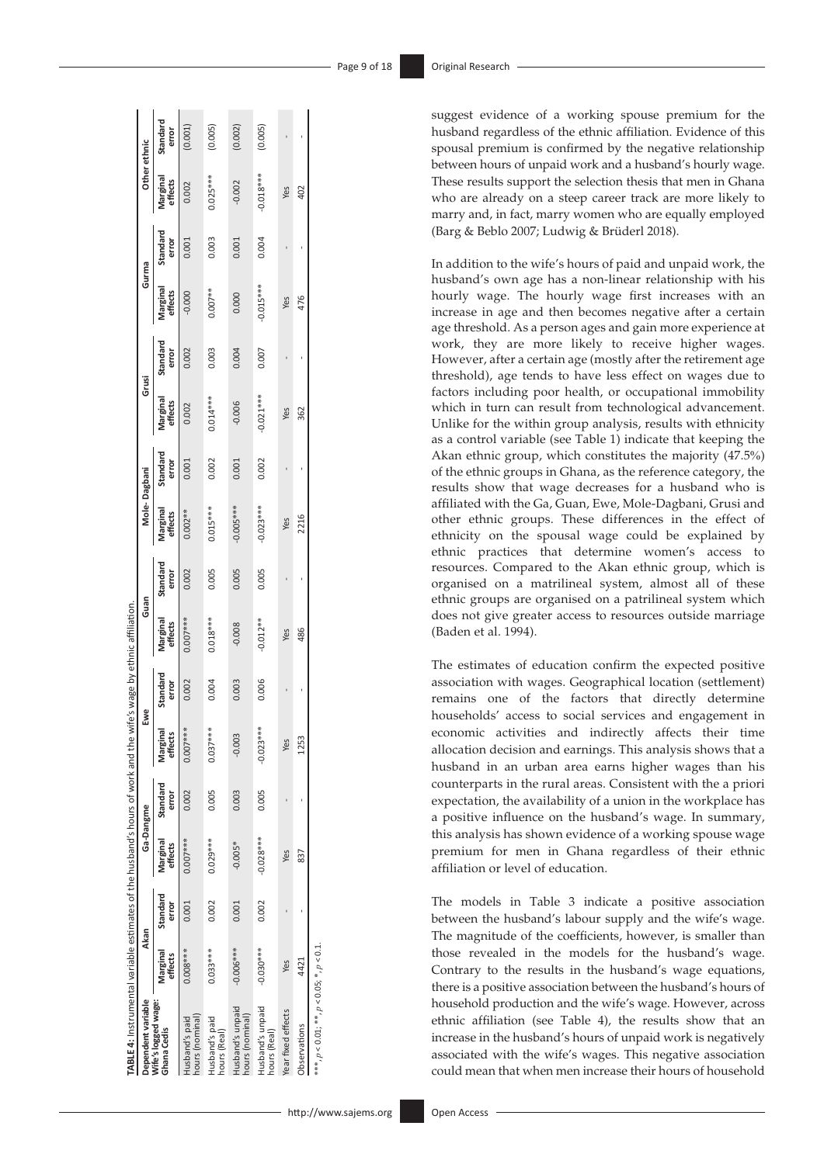suggest evidence of a working spouse premium for the husband regardless of the ethnic affiliation. Evidence of this spousal premium is confirmed by the negative relationship between hours of unpaid work and a husband's hourly wage. These results support the selection thesis that men in Ghana who are already on a steep career track are more likely to marry and, in fact, marry women who are equally employed (Barg & Beblo 2007; Ludwig & Brüderl 2018).

In addition to the wife's hours of paid and unpaid work, the husband's own age has a non-linear relationship with his hourly wage. The hourly wage first increases with an increase in age and then becomes negative after a certain age threshold. As a person ages and gain more experience at work, they are more likely to receive higher wages. However, after a certain age (mostly after the retirement age threshold), age tends to have less effect on wages due to factors including poor health, or occupational immobility which in turn can result from technological advancement. Unlike for the within group analysis, results with ethnicity as a control variable (see Table 1) indicate that keeping the Akan ethnic group, which constitutes the majority (47.5%) of the ethnic groups in Ghana, as the reference category, the results show that wage decreases for a husband who is affiliated with the Ga, Guan, Ewe, Mole-Dagbani, Grusi and other ethnic groups. These differences in the effect of ethnicity on the spousal wage could be explained by ethnic practices that determine women's access to resources. Compared to the Akan ethnic group, which is organised on a matrilineal system, almost all of these ethnic groups are organised on a patrilineal system which does not give greater access to resources outside marriage (Baden et al. 1994).

The estimates of education confirm the expected positive association with wages. Geographical location (settlement) remains one of the factors that directly determine households' access to social services and engagement in economic activities and indirectly affects their time allocation decision and earnings. This analysis shows that a husband in an urban area earns higher wages than his counterparts in the rural areas. Consistent with the a priori expectation, the availability of a union in the workplace has a positive influence on the husband's wage. In summary, this analysis has shown evidence of a working spouse wage premium for men in Ghana regardless of their ethnic affiliation or level of education.

The models in Table 3 indicate a positive association between the husband's labour supply and the wife's wage. The magnitude of the coefficients, however, is smaller than those revealed in the models for the husband's wage. Contrary to the results in the husband's wage equations, there is a positive association between the husband's hours of household production and the wife's wage. However, across ethnic affiliation (see Table 4), the results show that an increase in the husband's hours of unpaid work is negatively associated with the wife's wages. This negative association could mean that when men increase their hours of household

| <b>TABLE 4:</b> Instrumental variable estimates of the husband's hours of work and the wife's wage by ethnic affiliation |                     |                   |                     |                   |                     |                   |                     |                   |                     |                   |                     |                   |                     |                   |                     |                   |
|--------------------------------------------------------------------------------------------------------------------------|---------------------|-------------------|---------------------|-------------------|---------------------|-------------------|---------------------|-------------------|---------------------|-------------------|---------------------|-------------------|---------------------|-------------------|---------------------|-------------------|
| Dependent variable                                                                                                       | Akan                |                   | Ga-Dangme           |                   | Ewe                 |                   | Guan                |                   | Mole-Dagbani        |                   | Grusi               |                   | Gurma               |                   | Other ethnic        |                   |
| Wife's logged wage:<br>Ghana Cedis                                                                                       | Marginal<br>effects | Standard<br>error | Marginal<br>effects | Standard<br>error | Marginal<br>effects | Standard<br>error | Marginal<br>effects | Standard<br>error | Marginal<br>effects | Standard<br>error | Marginal<br>effects | Standard<br>error | Marginal<br>effects | Standard<br>error | Marginal<br>effects | Standard<br>error |
| nours (nominal)<br>Husband's paid                                                                                        | 0.008***            | 0.001             | 0.007***            | 0.002             | 0.007***            | 0.002             | 0.007***            | 0.002             | $0.002**$           | 0.001             | 0.002               | 0.002             | $-0.000$            | 0.001             | 0.002               | (0.001)           |
| Husband's paid<br>hours (Real)                                                                                           | $0.033***$          | 0.002             | 0.029***            | 0.005             | $0.037***$          | 0.004             | $0.018***$          | 0.005             | $0.015***$          | 0.002             | $0.014***$          | 0.003             | $0.007**$           | 0.003             | $0.025***$          | (0.005)           |
| Husband's unpaid<br>nours (nominal)                                                                                      | $-0.006***$         | 0.001             | $-0.005*$           | 0.003             | $-0.003$            | 0.003             | $-0.008$            | 0.005             | 0.005***            | 0.001             | $-0.006$            | 0.004             | 0.000               | 0.001             | $-0.002$            | (0.002)           |
| Husband's unpaid<br>nours (Real)                                                                                         | $-0.030***$         | 0.002             | $-0.028***$         | 0.005             | $-0.023***$         | 0.006             | $-0.012**$          | 0.005             | $-0.023***$         | 0.002             | $-0.021***$         | 0.007             | $-0.015***$         | 0.004             | $0.018***$          | (0.005)           |
| rear fixed effects                                                                                                       | Yes                 |                   | Yes                 |                   | Yes                 |                   | Yes                 |                   | Yes                 |                   | Yes                 |                   | Yes                 |                   | Yes                 |                   |
| Observations                                                                                                             | 4421                |                   | 837                 |                   | 1253                |                   | 486                 |                   | 2216                |                   | 362                 |                   | 476                 |                   | 402                 |                   |
| ***, $p < 0.01$ ; **, $p < 0.05$ ; *, $p < 0.1$ .                                                                        |                     |                   |                     |                   |                     |                   |                     |                   |                     |                   |                     |                   |                     |                   |                     |                   |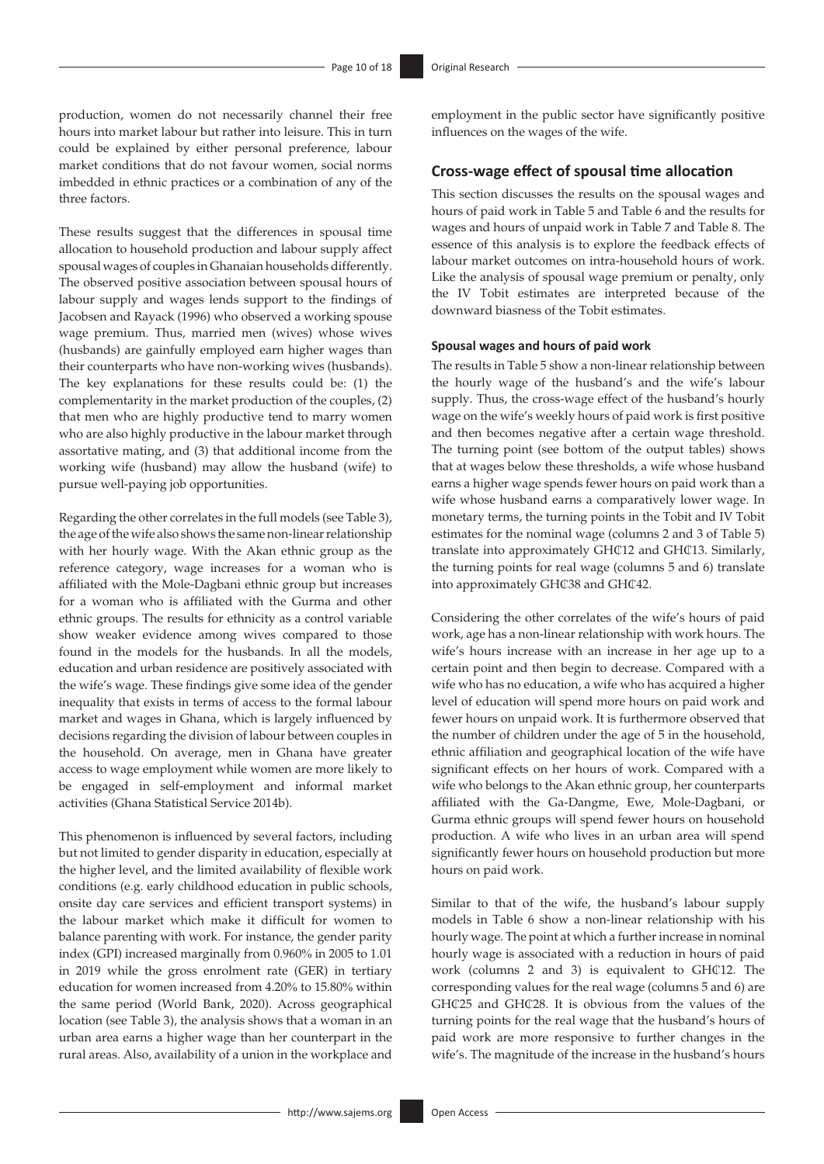production, women do not necessarily channel their free hours into market labour but rather into leisure. This in turn could be explained by either personal preference, labour market conditions that do not favour women, social norms imbedded in ethnic practices or a combination of any of the three factors.

These results suggest that the differences in spousal time allocation to household production and labour supply affect spousal wages of couples in Ghanaian households differently. The observed positive association between spousal hours of labour supply and wages lends support to the findings of Jacobsen and Rayack (1996) who observed a working spouse wage premium. Thus, married men (wives) whose wives (husbands) are gainfully employed earn higher wages than their counterparts who have non-working wives (husbands). The key explanations for these results could be: (1) the complementarity in the market production of the couples, (2) that men who are highly productive tend to marry women who are also highly productive in the labour market through assortative mating, and (3) that additional income from the working wife (husband) may allow the husband (wife) to pursue well-paying job opportunities.

Regarding the other correlates in the full models (see Table 3), the age of the wife also shows the same non-linear relationship with her hourly wage. With the Akan ethnic group as the reference category, wage increases for a woman who is affiliated with the Mole-Dagbani ethnic group but increases for a woman who is affiliated with the Gurma and other ethnic groups. The results for ethnicity as a control variable show weaker evidence among wives compared to those found in the models for the husbands. In all the models, education and urban residence are positively associated with the wife's wage. These findings give some idea of the gender inequality that exists in terms of access to the formal labour market and wages in Ghana, which is largely influenced by decisions regarding the division of labour between couples in the household. On average, men in Ghana have greater access to wage employment while women are more likely to be engaged in self-employment and informal market activities (Ghana Statistical Service 2014b).

This phenomenon is influenced by several factors, including but not limited to gender disparity in education, especially at the higher level, and the limited availability of flexible work conditions (e.g. early childhood education in public schools, onsite day care services and efficient transport systems) in the labour market which make it difficult for women to balance parenting with work. For instance, the gender parity index (GPI) increased marginally from 0.960% in 2005 to 1.01 in 2019 while the gross enrolment rate (GER) in tertiary education for women increased from 4.20% to 15.80% within the same period (World Bank, 2020). Across geographical location (see Table 3), the analysis shows that a woman in an urban area earns a higher wage than her counterpart in the rural areas. Also, availability of a union in the workplace and

employment in the public sector have significantly positive influences on the wages of the wife.

### **Cross-wage effect of spousal time allocation**

This section discusses the results on the spousal wages and hours of paid work in Table 5 and Table 6 and the results for wages and hours of unpaid work in Table 7 and Table 8. The essence of this analysis is to explore the feedback effects of labour market outcomes on intra-household hours of work. Like the analysis of spousal wage premium or penalty, only the IV Tobit estimates are interpreted because of the downward biasness of the Tobit estimates.

#### **Spousal wages and hours of paid work**

The results in Table 5 show a non-linear relationship between the hourly wage of the husband's and the wife's labour supply. Thus, the cross-wage effect of the husband's hourly wage on the wife's weekly hours of paid work is first positive and then becomes negative after a certain wage threshold. The turning point (see bottom of the output tables) shows that at wages below these thresholds, a wife whose husband earns a higher wage spends fewer hours on paid work than a wife whose husband earns a comparatively lower wage. In monetary terms, the turning points in the Tobit and IV Tobit estimates for the nominal wage (columns 2 and 3 of Table 5) translate into approximately GH¢12 and GH¢13. Similarly, the turning points for real wage (columns 5 and 6) translate into approximately GH¢38 and GH¢42.

Considering the other correlates of the wife's hours of paid work, age has a non-linear relationship with work hours. The wife's hours increase with an increase in her age up to a certain point and then begin to decrease. Compared with a wife who has no education, a wife who has acquired a higher level of education will spend more hours on paid work and fewer hours on unpaid work. It is furthermore observed that the number of children under the age of 5 in the household, ethnic affiliation and geographical location of the wife have significant effects on her hours of work. Compared with a wife who belongs to the Akan ethnic group, her counterparts affiliated with the Ga-Dangme, Ewe, Mole-Dagbani, or Gurma ethnic groups will spend fewer hours on household production. A wife who lives in an urban area will spend significantly fewer hours on household production but more hours on paid work.

Similar to that of the wife, the husband's labour supply models in Table 6 show a non-linear relationship with his hourly wage. The point at which a further increase in nominal hourly wage is associated with a reduction in hours of paid work (columns 2 and 3) is equivalent to GHC12. The corresponding values for the real wage (columns 5 and 6) are GH¢25 and GH¢28. It is obvious from the values of the turning points for the real wage that the husband's hours of paid work are more responsive to further changes in the wife's. The magnitude of the increase in the husband's hours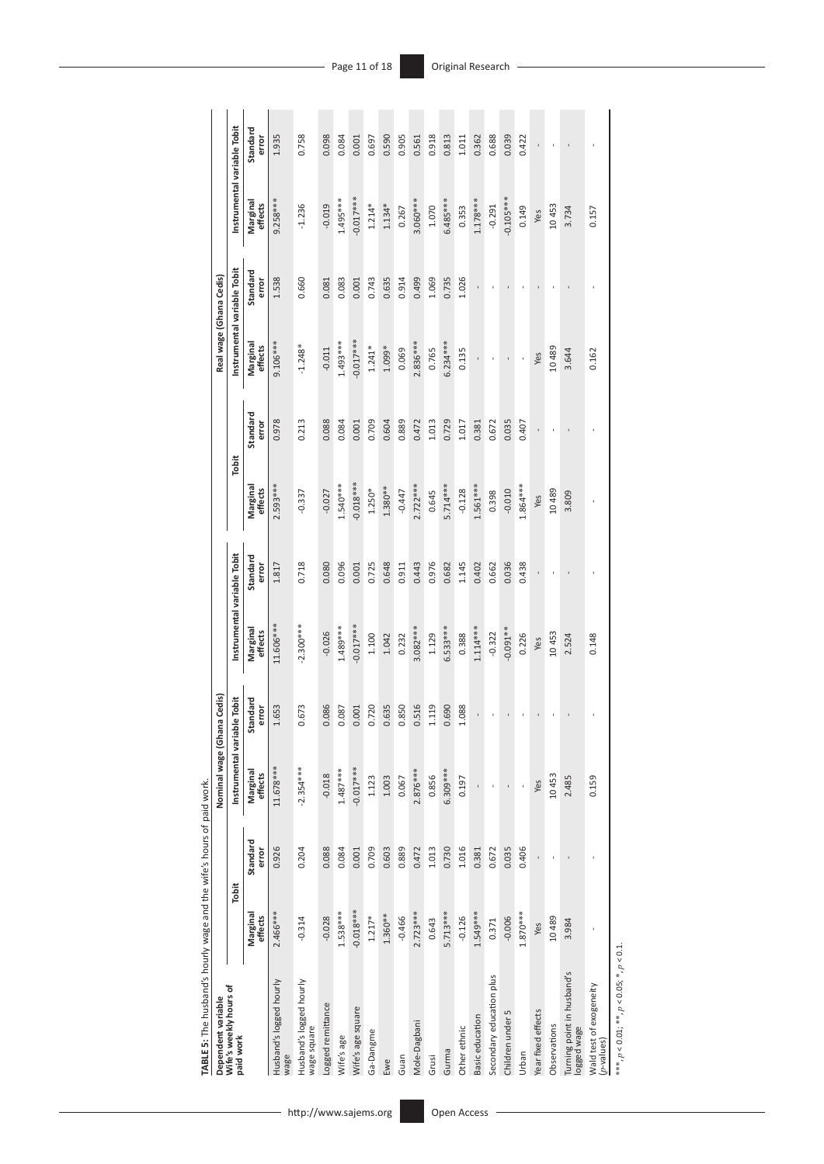| TABLE 5: The husband's hourly wage and the wife's hours of paid work. |                     |                   |                             |                   |                             |                   |                     |                   |                             |                   |                             |                   |
|-----------------------------------------------------------------------|---------------------|-------------------|-----------------------------|-------------------|-----------------------------|-------------------|---------------------|-------------------|-----------------------------|-------------------|-----------------------------|-------------------|
| Dependent variable                                                    |                     |                   | Nominal wage (Ghana Cedis)  |                   |                             |                   |                     |                   | Real wage (Ghana Cedis)     |                   |                             |                   |
| Wife's weekly hours of<br>paid work                                   | Tobit               |                   | Instrumental variable Tobit |                   | Instrumental variable Tobit |                   | Tobit               |                   | Instrumental variable Tobit |                   | Instrumental variable Tobit |                   |
|                                                                       | Marginal<br>effects | Standard<br>error | Marginal<br>effects         | Standard<br>error | Marginal<br>effects         | Standard<br>error | Marginal<br>effects | Standard<br>error | Marginal<br>effects         | Standard<br>error | Marginal<br>effects         | Standard<br>error |
| Husband's logged hourly<br>wage                                       | 2.466***            | 0.926             | 11.678***                   | 1.653             | 11.606***                   | 1.817             | $2.593***$          | 0.978             | $9.106***$                  | 1.538             | $9.258***$                  | 1.935             |
| Husband's logged hourly<br>wage square                                | $-0.314$            | 0.204             | $-2.354***$                 | 0.673             | $-2.300***$                 | 0.718             | $-0.337$            | 0.213             | $-1.248*$                   | 0.660             | $-1.236$                    | 0.758             |
| Logged remittance                                                     | $-0.028$            | 0.088             | $-0.018$                    | 0.086             | $-0.026$                    | 0.080             | $-0.027$            | 0.088             | $-0.011$                    | 0.081             | $-0.019$                    | 0.098             |
| Wife's age                                                            | $1.538***$          | 0.084             | $1.487***$                  | 0.087             | 1.489***                    | 0.096             | $1.540***$          | 0.084             | $1.493***$                  | 0.083             | $1.495***$                  | 0.084             |
| Wife's age square                                                     | $-0.018***$         | 0.001             | $-0.017***$                 | 0.001             | $0.017***$                  | 0.001             | $-0.018***$         | 0.001             | $-0.017***$                 | 0.001             | $-0.017***$                 | 0.001             |
| Ga-Dangme                                                             | $1.217*$            | 0.709             | 1.123                       | 0.720             | 1.100                       | 0.725             | $1.250*$            | 0.709             | $1.241*$                    | 0.743             | $1.214*$                    | 0.697             |
| Ewe                                                                   | $1.360***$          | 0.603             | 1.003                       | 0.635             | 1.042                       | 0.648             | $1.380**$           | 0.604             | 1.099*                      | 0.635             | $1.134*$                    | 0.590             |
| Guan                                                                  | $-0.466$            | 0.889             | 0.067                       | 0.850             | 0.232                       | 0.911             | $-0.447$            | 0.889             | 0.069                       | 0.914             | 0.267                       | 0.905             |
| Mole-Dagbani                                                          | $2.723***$          | 0.472             | $2.876***$                  | 0.516             | $3.082***$                  | 0.443             | $2.722***$          | 0.472             | $2.836***$                  | 0.499             | 3.060***                    | 0.561             |
| Grusi                                                                 | 0.643               | 1.013             | 0.856                       | 1.119             | 1.129                       | 0.976             | 0.645               | 1.013             | 0.765                       | 1.069             | 1.070                       | 0.918             |
| Gurma                                                                 | 5.713***            | 0.730             | 6.309***                    | 0.690             | 6.533****                   | 0.682             | $5.714***$          | 0.729             | $6.234***$                  | 0.735             | 6.485****                   | 0.813             |
| Other ethnic                                                          | $-0.126$            | 1.016             | 0.197                       | 1.088             | 0.388                       | 1.145             | $-0.128$            | 1.017             | 0.135                       | 1.026             | 0.353                       | 1.011             |
| Basic education                                                       | 1.549***            | 0.381             |                             |                   | $1.114***$                  | 0.402             | $1.561***$          | 0.381             | $\blacksquare$              | $\blacksquare$    | $1.178***$                  | 0.362             |
| Secondary education plus                                              | 0.371               | 0.672             |                             |                   | $-0.322$                    | 0.662             | 0.398               | 0.672             | ı                           | f,                | $-0.291$                    | 0.688             |
| Children under 5                                                      | $-0.006$            | 0.035             | $\blacksquare$              |                   | $0.091**$                   | 0.036             | $-0.010$            | 0.035             | $\blacksquare$              | ı                 | $-0.105***$                 | 0.039             |
| Urban                                                                 | $1.870***$          | 0.406             |                             |                   | 0.226                       | 0.438             | $1.864***$          | 0.407             |                             |                   | 0.149                       | 0.422             |
| Year fixed effects                                                    | Yes                 |                   | Yes                         |                   | Yes                         |                   | Yes                 |                   | Yes                         |                   | Yes                         |                   |
| Observations                                                          | 10489               | ı                 | 10453                       |                   | 10453                       |                   | 10489               |                   | 10489                       |                   | 10453                       |                   |
| Turning point in husband's<br>ogged wage                              | 3.984               |                   | 2.485                       |                   | 2.524                       |                   | 3.809               |                   | 3.644                       |                   | 3.734                       |                   |
| Wald test of exogeneity<br><i>p</i> -values)                          |                     | f,                | 0.159                       |                   | 0.148                       |                   | ł                   |                   | 0.162                       |                   | 0.157                       |                   |
|                                                                       |                     |                   |                             |                   |                             |                   |                     |                   |                             |                   |                             |                   |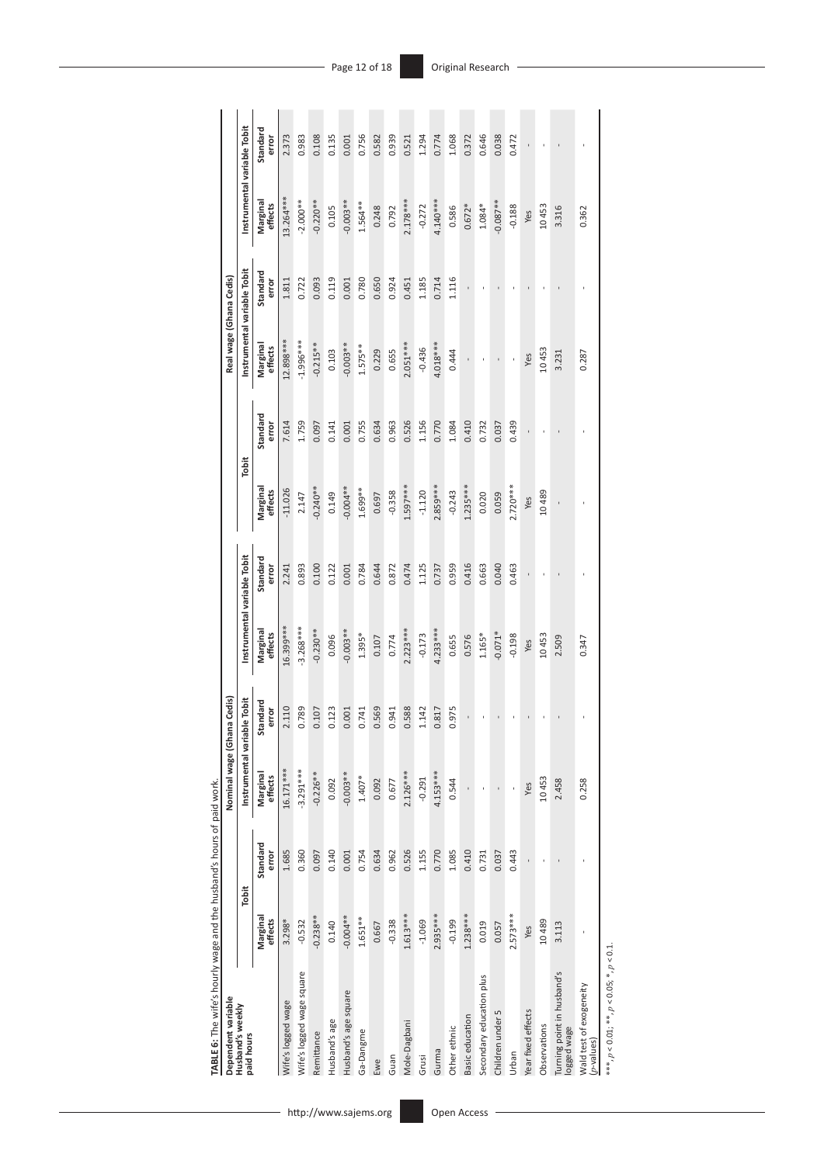| Dependent variable                       |                     |                   | Nominal wage (Ghana Cedis)  |                   |                             |                   |                     |                   | Real wage (Ghana Cedis)     |                   |                             |                   |
|------------------------------------------|---------------------|-------------------|-----------------------------|-------------------|-----------------------------|-------------------|---------------------|-------------------|-----------------------------|-------------------|-----------------------------|-------------------|
| Husband's weekly<br>paid hours           | Tobit               |                   | Instrumental variable Tobit |                   | Instrumental variable Tobit |                   | Tobit               |                   | Instrumental variable Tobit |                   | Instrumental variable Tobit |                   |
|                                          | Marginal<br>effects | Standard<br>error | Marginal<br>effects         | Standard<br>error | Marginal<br>effects         | Standard<br>error | Marginal<br>effects | Standard<br>error | Marginal<br>effects         | Standard<br>error | Marginal<br>effects         | Standard<br>error |
| Wife's logged wage                       | 3.298*              | 1.685             | 16.171***                   | 2.110             | 16.399***                   | 2.241             | $-11.026$           | 7.614             | 12.898***                   | 1.811             | 13.264***                   | 2.373             |
| Wife's logged wage square                | $-0.532$            | 0.360             | $-3.291***$                 | 0.789             | $-3.268***$                 | 0.893             | 2.147               | 1.759             | $-1.996***$                 | 0.722             | $-2.000**$                  | 0.983             |
| Remittance                               | $-0.238**$          | 0.097             | $-0.226**$                  | 0.107             | $-0.230**$                  | 0.100             | $-0.240**$          | 0.097             | $-0.215**$                  | 0.093             | $-0.220**$                  | 0.108             |
| Husband's age                            | 0.140               | 0.140             | 0.092                       | 0.123             | 0.096                       | 0.122             | 0.149               | 0.141             | 0.103                       | 0.119             | 0.105                       | 0.135             |
| Husband's age square                     | $-0.004**$          | 0.001             | $-0.003**$                  | 0.001             | $-0.003**$                  | 0.001             | $-0.004**$          | 0.001             | $-0.003**$                  | 0.001             | $-0.003**$                  | 0.001             |
| Ga-Dangme                                | $1.651***$          | 0.754             | $1.407*$                    | 0.741             | $1.395*$                    | 0.784             | $1.699**$           | 0.755             | $1.575***$                  | 0.780             | $1.564**$                   | 0.756             |
| Ewe                                      | 0.667               | 0.634             | 0.092                       | 0.569             | 0.107                       | 0.644             | 0.697               | 0.634             | 0.229                       | 0.650             | 0.248                       | 0.582             |
| Guan                                     | $-0.338$            | 0.962             | 0.677                       | 0.941             | 0.774                       | 0.872             | $-0.358$            | 0.963             | 0.655                       | 0.924             | 0.792                       | 0.939             |
| Mole-Dagbani                             | $1.613***$          | 0.526             | $2.126***$                  | 0.588             | $2.223***$                  | 0.474             | $1.597***$          | 0.526             | $2.051***$                  | 0.451             | $2.178***$                  | 0.521             |
| Grusi                                    | $-1.069$            | 1.155             | $-0.291$                    | 1.142             | $-0.173$                    | 1.125             | $-1.120$            | 1.156             | $-0.436$                    | 1.185             | $-0.272$                    | 1.294             |
| Gurma                                    | 2.935 ***           | 0.770             | $4.153***$                  | 1.817             | $4.233***$                  | 0.737             | $2.859***$          | 0.770             | 4.018***                    | 0.714             | 4.140***                    | 0.774             |
| Other ethnic                             | $-0.199$            | 1.085             | 0.544                       | .975              | 0.655                       | 0.959             | $-0.243$            | 1.084             | 0.444                       | 1.116             | 0.586                       | 1.068             |
| Basic education                          | $1.238***$          | 0.410             | ł.                          |                   | 0.576                       | 0.416             | $1.235***$          | 0.410             | ł.                          | $\blacksquare$    | $0.672*$                    | 0.372             |
| Secondary education plus                 | 0.019               | 0.731             | ł,                          |                   | $1.165*$                    | 0.663             | 0.020               | 0.732             | ł                           |                   | 1.084*                      | 0.646             |
| Children under 5                         | 0.057               | 0.037             | f,                          |                   | $-0.071*$                   | 0.040             | 0.059               | 0.037             | î,                          |                   | $-0.087**$                  | 0.038             |
| <b>Urban</b>                             | $2.573***$          | 0.443             | ï                           |                   | $-0.198$                    | 0.463             | $2.720***$          | 0.439             | ł                           |                   | $-0.188$                    | 0.472             |
| Year fixed effects                       | Yes                 |                   | Yes                         |                   | Yes                         | ı                 | Yes                 |                   | Yes                         |                   | Yes                         |                   |
| Observations                             | 10489               |                   | 10453                       |                   | 10453                       |                   | 10489               |                   | 10453                       |                   | 10453                       |                   |
| Turning point in husband's<br>ogged wage | 3.113               |                   | 2.458                       |                   | 2.509                       |                   |                     |                   | 3.231                       |                   | 3.316                       |                   |
| Wald test of exogeneity<br>$(p$ -values) |                     |                   | 0.258                       |                   | 0.347                       |                   |                     |                   | 0.287                       |                   | 0.362                       |                   |
|                                          |                     |                   |                             |                   |                             |                   |                     |                   |                             |                   |                             |                   |

TABLE 6: The wife's hourly wage and the husband's hours of paid work. **TABLE 6:** The wife's hourly wage and the husband's hours of paid work.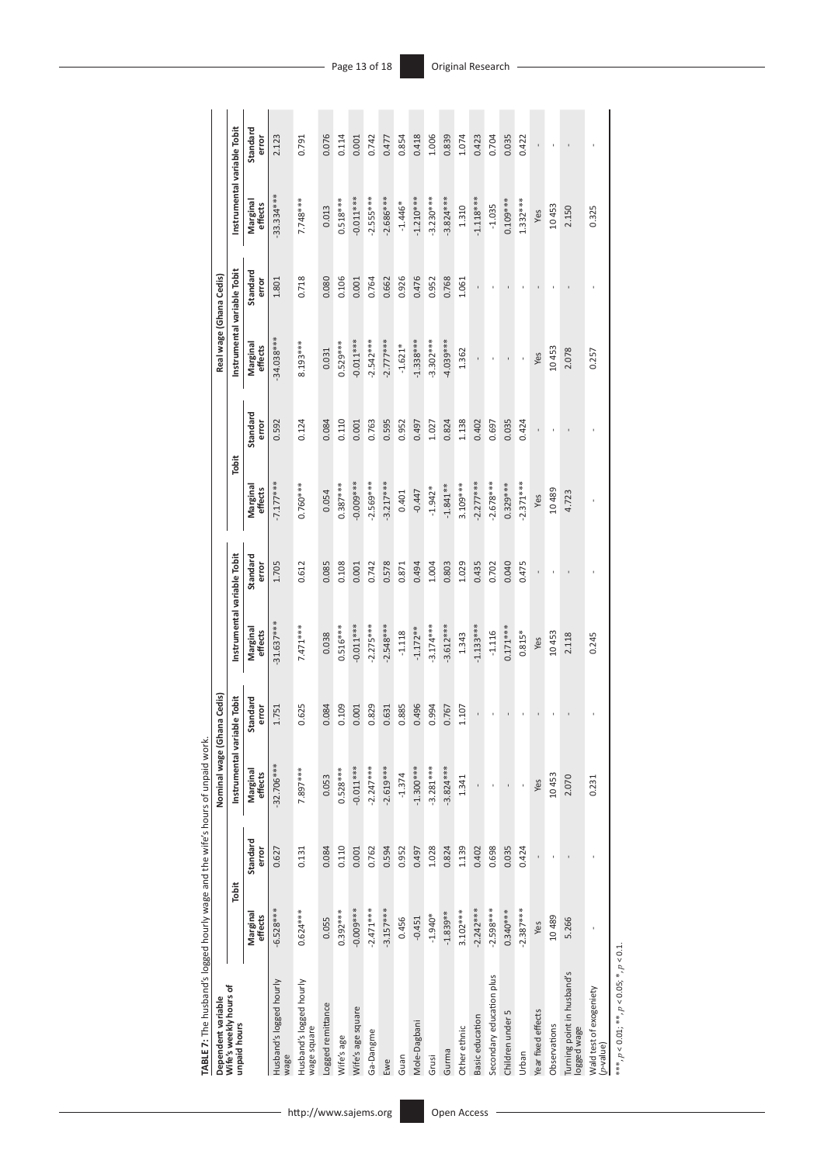| TABLE 7: The husband's logged hourly wage and the wife's hours of unpaid work. |                     |                   |                             |                   |                             |                   |                     |                   |                             |                   |                             |                   |
|--------------------------------------------------------------------------------|---------------------|-------------------|-----------------------------|-------------------|-----------------------------|-------------------|---------------------|-------------------|-----------------------------|-------------------|-----------------------------|-------------------|
| Dependent variable                                                             |                     |                   | Nominal wage (Ghar          | na Cedis)         |                             |                   |                     |                   | Real wage (Ghana Cedis)     |                   |                             |                   |
| Wife's weekly hours of<br>unpaid hours                                         | Tobit               |                   | Instrumental variable Tobit |                   | Instrumental variable Tobit |                   | Tobit               |                   | Instrumental variable Tobit |                   | Instrumental variable Tobit |                   |
|                                                                                | Marginal<br>effects | Standard<br>error | Marginal<br>effects         | Standard<br>error | Marginal<br>effects         | Standard<br>error | Marginal<br>effects | Standard<br>error | Marginal<br>effects         | Standard<br>error | Marginal<br>effects         | Standard<br>error |
| Husband's logged hourly<br>wage                                                | $-6.528***$         | 0.627             | $-32.706***$                | 1.751             | $-31.637***$                | 1.705             | $-7.177$ ***        | 0.592             | -34.038***                  | 1.801             | $-33.334***$                | 2.123             |
| Husband's logged hourly<br>wage square                                         | $0.624***$          | 0.131             | 7.897***                    | 0.625             | 7.471 ***                   | 0.612             | $0.760***$          | 0.124             | ****8.193                   | 0.718             | 7.748***                    | 0.791             |
| Logged remittance                                                              | 0.055               | 0.084             | 0.053                       | 0.084             | 0.038                       | 0.085             | 0.054               | 0.084             | 0.031                       | 0.080             | 0.013                       | 0.076             |
| Wife's age                                                                     | $0.392***$          | 0.110             | $0.528***$                  | 0.109             | $0.516***$                  | 0.108             | $0.387***$          | 0.110             | $0.529***$                  | 0.106             | $0.518***$                  | 0.114             |
| Wife's age square                                                              | -0.009***           | 0.001             | $-0.011***$                 | 0.001             | $-0.011***$                 | 0.001             | 0.009***            | 0.001             | $-0.011***$                 | 0.001             | $-0.011***$                 | 0.001             |
| Ga-Dangme                                                                      | $-2.471***$         | 0.762             | $-2.247***$                 | 0.829             | $-2.275***$                 | 0.742             | $-2.569***$         | 0.763             | $-2.542***$                 | 0.764             | $-2.555***$                 | 0.742             |
| Ewe                                                                            | $-3.157***$         | 0.594             | $-2.619***$                 | 0.631             | $-2.548***$                 | 0.578             | $-3.217***$         | 0.595             | $-2.777***$                 | 0.662             | $-2.686***$                 | 0.477             |
| Guan                                                                           | 0.456               | 0.952             | $-1.374$                    | 0.885             | $-1.118$                    | 0.871             | 0.401               | 0.952             | $-1.621*$                   | 0.926             | $-1.446*$                   | 0.854             |
| Mole-Dagbani                                                                   | $-0.451$            | 0.497             | $-1.300***$                 | 0.496             | $-1.172**$                  | 0.494             | $-0.447$            | 0.497             | $-1.338***$                 | 0.476             | $-1.210***$                 | 0.418             |
| Grusi                                                                          | $-1.940*$           | 1.028             | $-3.281***$                 | 0.994             | $-3.174***$                 | 1.004             | $-1.942*$           | 1.027             | $-3.302***$                 | 0.952             | $-3.230***$                 | 1.006             |
| Gurma                                                                          | $-1.839**$          | 0.824             | $-3.824***$                 | 0.767             | $-3.612***$                 | 0.803             | $-1.841**$          | 0.824             | 4.039***                    | 0.768             | $-3.824***$                 | 0.839             |
| Other ethnic                                                                   | $3.102***$          | 1.139             | 1.341                       | 1.107             | 1.343                       | 1.029             | $3.109***$          | 1.138             | 1.362                       | 1.061             | 1.310                       | 1.074             |
| Basic education                                                                | $-2.242***$         | 0.402             | ı                           |                   | $-1.133***$                 | 0.435             | $2.277***$          | 0.402             | ı                           |                   | $-1.118***$                 | 0.423             |
| Secondary education plus                                                       | $-2.598***$         | 0.698             | t                           |                   | $-1.116$                    | 0.702             | $-2.678***$         | 0.697             | $\,$                        | f,                | $-1.035$                    | 0.704             |
| Children under 5                                                               | $0.340***$          | 0.035             | $\blacksquare$              |                   | $0.171***$                  | 0.040             | $0.329***$          | 0.035             | ı                           | $\blacksquare$    | $0.109***$                  | 0.035             |
| Urban                                                                          | $-2.387***$         | 0.424             | ï                           |                   | $0.815*$                    | 0.475             | $-2.371***$         | 0.424             | ï                           |                   | $1.332***$                  | 0.422             |
| Year fixed effects                                                             | Yes                 |                   | Yes                         |                   | Yes                         |                   | Yes                 |                   | Yes                         |                   | Yes                         |                   |
| Observations                                                                   | 10489               |                   | 10453                       |                   | 10453                       |                   | 10489               |                   | 10453                       |                   | 10453                       |                   |
| Turning point in husband's<br>ogged wage                                       | 5.266               |                   | 2.070                       |                   | 2.118                       |                   | 4.723               |                   | 2.078                       |                   | 2.150                       |                   |
| Wald test of exogeniety<br>$(p$ -value)                                        |                     |                   | 0.231                       |                   | 0.245                       |                   | ł                   |                   | 0.257                       |                   | 0.325                       |                   |
|                                                                                |                     |                   |                             |                   |                             |                   |                     |                   |                             |                   |                             |                   |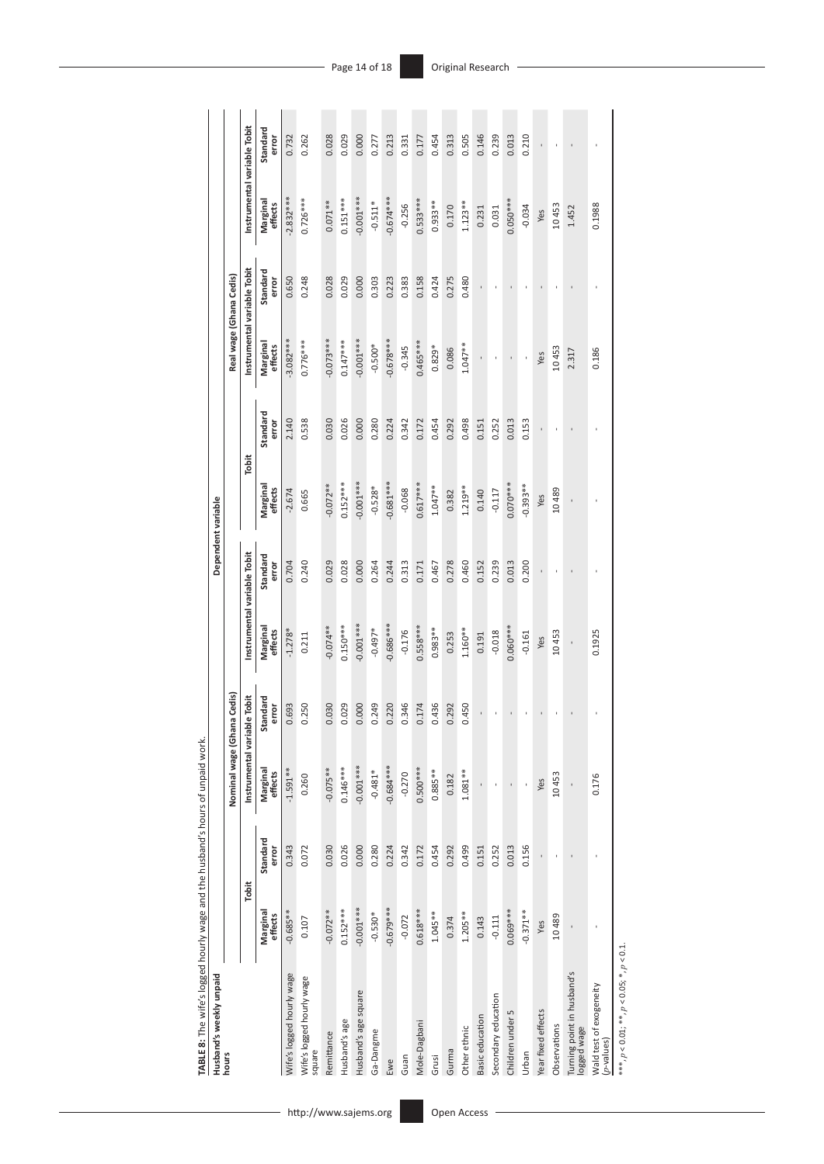| Husband's weekly unpaid                  |                     |                   |                     |                   |                             | Dependent variable |                     |                   |                             |                   |                             |                   |
|------------------------------------------|---------------------|-------------------|---------------------|-------------------|-----------------------------|--------------------|---------------------|-------------------|-----------------------------|-------------------|-----------------------------|-------------------|
| hours                                    |                     |                   | Nominal wage (Ghar  | na Cedis)         |                             |                    |                     |                   | Real wage (Ghana Cedis)     |                   |                             |                   |
|                                          | Tobit               |                   | Instrumental variab | le Tobit          | Instrumental variable Tobit |                    | Tobit               |                   | Instrumental variable Tobit |                   | Instrumental variable Tobit |                   |
|                                          | Marginal<br>effects | Standard<br>error | Marginal<br>effects | Standard<br>error | Marginal<br>effects         | Standard<br>error  | Marginal<br>effects | Standard<br>error | Marginal<br>effects         | Standard<br>error | Marginal<br>effects         | Standard<br>error |
| Wife's logged hourly wage                | $-0.685**$          | 0.343             | $-1.591***$         | 0.693             | $-1.278*$                   | 0.704              | $-2.674$            | 2.140             | $-3.082***$                 | 0.650             | $-2.832***$                 | 0.732             |
| Wife's logged hourly wage<br>square      | 0.107               | 0.072             | 0.260               | 0.250             | 0.211                       | 0.240              | 0.665               | 0.538             | $0.776***$                  | 0.248             | $0.726***$                  | 0.262             |
| Remittance                               | $-0.072**$          | 0.030             | $-0.075**$          | 0.030             | $-0.074**$                  | 0.029              | $-0.072**$          | 0.030             | $-0.073***$                 | 0.028             | $0.071***$                  | 0.028             |
| Husband's age                            | $0.152***$          | 0.026             | $0.146***$          | 0.029             | $0.150***$                  | 0.028              | $0.152***$          | 0.026             | $0.147***$                  | 0.029             | $0.151***$                  | 0.029             |
| Husband's age square                     | $-0.001***$         | 0.000             | $-0.001***$         | 0.000             | $-0.001***$                 | 0.000              | $0.001***$          | 0.000             | $-0.001***$                 | 0.000             | $-0.001***$                 | 0.000             |
| Ga-Dangme                                | $-0.530*$           | 0.280             | $-0.481*$           | 0.249             | $-0.497*$                   | 0.264              | $-0.528*$           | 0.280             | $-0.500*$                   | 0.303             | $-0.511*$                   | 0.277             |
| Ewe                                      | $-0.679***$         | 0.224             | $-0.684***$         | 0.220             | $-0.686***$                 | 0.244              | $-0.681***$         | 0.224             | $-0.678***$                 | 0.223             | $-0.674***$                 | 0.213             |
| Guan                                     | $-0.072$            | 0.342             | $-0.270$            | 0.346             | $-0.176$                    | 0.313              | $-0.068$            | 0.342             | $-0.345$                    | 0.383             | $-0.256$                    | 0.331             |
| Mole-Dagbani                             | $0.618***$          | 0.172             | $0.500***$          | 0.174             | $0.558***$                  | 0.171              | $0.617***$          | 0.172             | $0.465***$                  | 0.158             | $0.533***$                  | 0.177             |
| Grusi                                    | $1.045***$          | 0.454             | $0.885***$          | 0.436             | $0.983**$                   | 0.467              | $1.047***$          | 0.454             | $0.829*$                    | 0.424             | $0.933**$                   | 0.454             |
| Gurma                                    | 0.374               | 0.292             | 0.182               | 0.292             | 0.253                       | 0.278              | 0.382               | 0.292             | 0.086                       | 0.275             | 0.170                       | 0.313             |
| Other ethnic                             | $1.205**$           | 0.499             | $1.081***$          | 0.450             | $1.160**$                   | 0.460              | $1.219***$          | 0.498             | $1.047**$                   | 0.480             | $1.123**$                   | 0.505             |
| Basic education                          | 0.143               | 0.151             | ı                   |                   | 0.191                       | 0.152              | 0.140               | 0.151             | $\bar{1}$                   | ï                 | 0.231                       | 0.146             |
| Secondary education                      | $-0.111$            | 0.252             |                     |                   | $-0.018$                    | 0.239              | $-0.117$            | 0.252             |                             |                   | 0.031                       | 0.239             |
| Children under 5                         | 0.069***            | 0.013             | $\,$                |                   | $0.060***$                  | 0.013              | $0.070***$          | 0.013             | $\mathbf{I}$                |                   | $0.050***$                  | 0.013             |
| Urban                                    | $-0.371***$         | 0.156             | ı,                  |                   | $-0.161$                    | 0.200              | $-0.393**$          | 0.153             | ı,                          |                   | $-0.034$                    | 0.210             |
| Year fixed effects                       | Yes                 |                   | Yes                 |                   | Yes                         |                    | Yes                 |                   | Yes                         |                   | Yes                         |                   |
| Observations                             | 10489               |                   | 10453               |                   | 10453                       |                    | 10489               |                   | 10453                       |                   | 10453                       |                   |
| Turning point in husband's<br>ogged wage |                     |                   | ï                   |                   | ï                           |                    |                     |                   | 2.317                       |                   | 1.452                       |                   |
| Wald test of exogeneity<br>$(p$ -values) |                     |                   | 0.176               |                   | 0.1925                      |                    |                     |                   | 0.186                       |                   | 0.1988                      |                   |

**TABLE 8:** The wife's logged hourly wage and the husband's hours of ungaid work. **TABLE 8:** The wife's logged hourly wage and the husband's hours of unpaid work.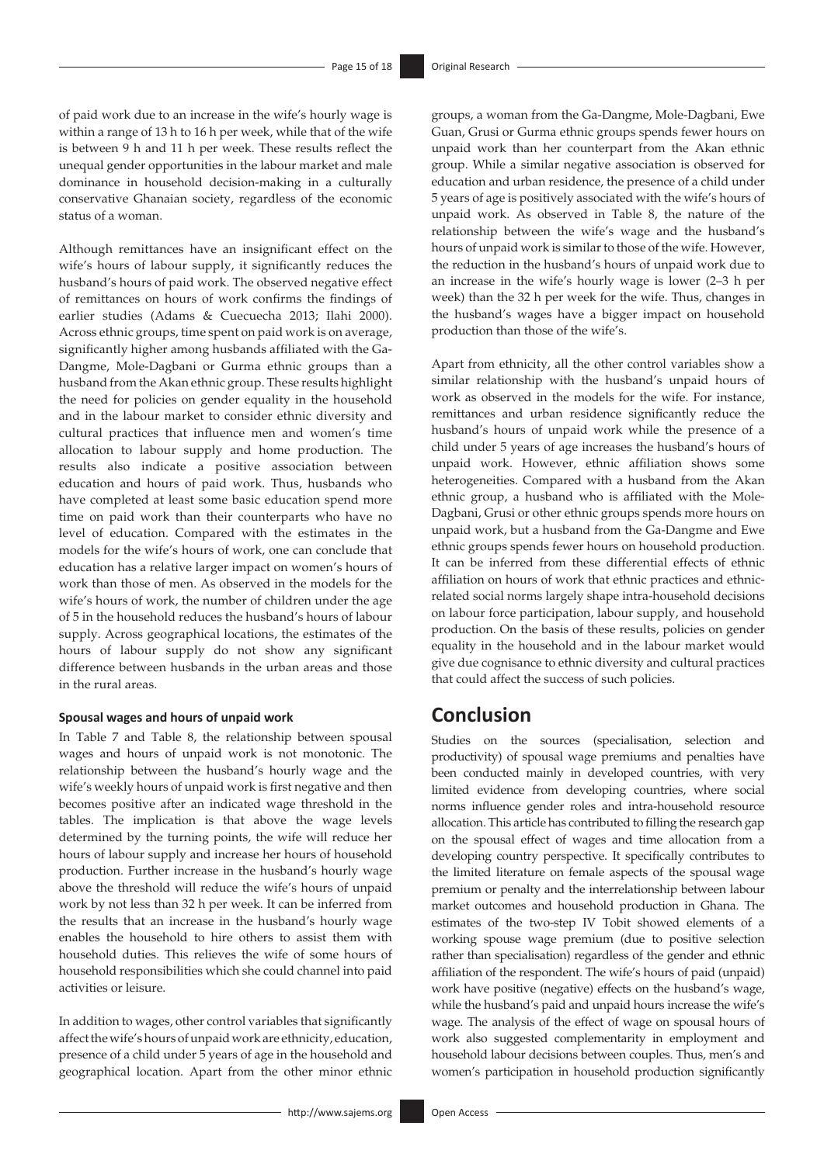of paid work due to an increase in the wife's hourly wage is within a range of 13 h to 16 h per week, while that of the wife is between 9 h and 11 h per week. These results reflect the unequal gender opportunities in the labour market and male dominance in household decision-making in a culturally conservative Ghanaian society, regardless of the economic status of a woman.

Although remittances have an insignificant effect on the wife's hours of labour supply, it significantly reduces the husband's hours of paid work. The observed negative effect of remittances on hours of work confirms the findings of earlier studies (Adams & Cuecuecha 2013; Ilahi 2000). Across ethnic groups, time spent on paid work is on average, significantly higher among husbands affiliated with the Ga-Dangme, Mole-Dagbani or Gurma ethnic groups than a husband from the Akan ethnic group. These results highlight the need for policies on gender equality in the household and in the labour market to consider ethnic diversity and cultural practices that influence men and women's time allocation to labour supply and home production. The results also indicate a positive association between education and hours of paid work. Thus, husbands who have completed at least some basic education spend more time on paid work than their counterparts who have no level of education. Compared with the estimates in the models for the wife's hours of work, one can conclude that education has a relative larger impact on women's hours of work than those of men. As observed in the models for the wife's hours of work, the number of children under the age of 5 in the household reduces the husband's hours of labour supply. Across geographical locations, the estimates of the hours of labour supply do not show any significant difference between husbands in the urban areas and those in the rural areas.

#### **Spousal wages and hours of unpaid work**

In Table 7 and Table 8, the relationship between spousal wages and hours of unpaid work is not monotonic. The relationship between the husband's hourly wage and the wife's weekly hours of unpaid work is first negative and then becomes positive after an indicated wage threshold in the tables. The implication is that above the wage levels determined by the turning points, the wife will reduce her hours of labour supply and increase her hours of household production. Further increase in the husband's hourly wage above the threshold will reduce the wife's hours of unpaid work by not less than 32 h per week. It can be inferred from the results that an increase in the husband's hourly wage enables the household to hire others to assist them with household duties. This relieves the wife of some hours of household responsibilities which she could channel into paid activities or leisure.

In addition to wages, other control variables that significantly affect the wife's hours of unpaid work are ethnicity, education, presence of a child under 5 years of age in the household and geographical location. Apart from the other minor ethnic

groups, a woman from the Ga-Dangme, Mole-Dagbani, Ewe Guan, Grusi or Gurma ethnic groups spends fewer hours on unpaid work than her counterpart from the Akan ethnic group. While a similar negative association is observed for education and urban residence, the presence of a child under 5 years of age is positively associated with the wife's hours of unpaid work. As observed in Table 8, the nature of the relationship between the wife's wage and the husband's hours of unpaid work is similar to those of the wife. However, the reduction in the husband's hours of unpaid work due to an increase in the wife's hourly wage is lower (2–3 h per week) than the 32 h per week for the wife. Thus, changes in the husband's wages have a bigger impact on household production than those of the wife's.

Apart from ethnicity, all the other control variables show a similar relationship with the husband's unpaid hours of work as observed in the models for the wife. For instance, remittances and urban residence significantly reduce the husband's hours of unpaid work while the presence of a child under 5 years of age increases the husband's hours of unpaid work. However, ethnic affiliation shows some heterogeneities. Compared with a husband from the Akan ethnic group, a husband who is affiliated with the Mole-Dagbani, Grusi or other ethnic groups spends more hours on unpaid work, but a husband from the Ga-Dangme and Ewe ethnic groups spends fewer hours on household production. It can be inferred from these differential effects of ethnic affiliation on hours of work that ethnic practices and ethnicrelated social norms largely shape intra-household decisions on labour force participation, labour supply, and household production. On the basis of these results, policies on gender equality in the household and in the labour market would give due cognisance to ethnic diversity and cultural practices that could affect the success of such policies.

# **Conclusion**

Studies on the sources (specialisation, selection and productivity) of spousal wage premiums and penalties have been conducted mainly in developed countries, with very limited evidence from developing countries, where social norms influence gender roles and intra-household resource allocation. This article has contributed to filling the research gap on the spousal effect of wages and time allocation from a developing country perspective. It specifically contributes to the limited literature on female aspects of the spousal wage premium or penalty and the interrelationship between labour market outcomes and household production in Ghana. The estimates of the two-step IV Tobit showed elements of a working spouse wage premium (due to positive selection rather than specialisation) regardless of the gender and ethnic affiliation of the respondent. The wife's hours of paid (unpaid) work have positive (negative) effects on the husband's wage, while the husband's paid and unpaid hours increase the wife's wage. The analysis of the effect of wage on spousal hours of work also suggested complementarity in employment and household labour decisions between couples. Thus, men's and women's participation in household production significantly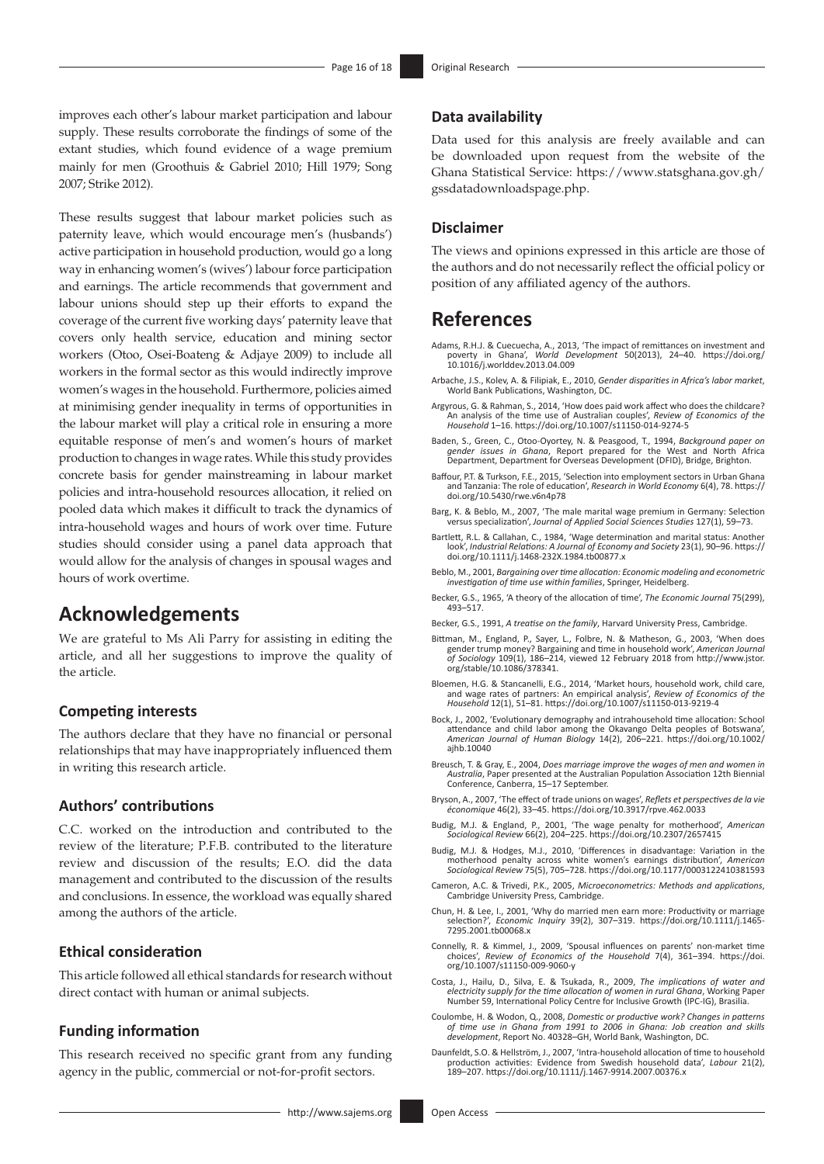improves each other's labour market participation and labour supply. These results corroborate the findings of some of the extant studies, which found evidence of a wage premium mainly for men (Groothuis & Gabriel 2010; Hill 1979; Song 2007; Strike 2012).

These results suggest that labour market policies such as paternity leave, which would encourage men's (husbands') active participation in household production, would go a long way in enhancing women's (wives') labour force participation and earnings. The article recommends that government and labour unions should step up their efforts to expand the coverage of the current five working days' paternity leave that covers only health service, education and mining sector workers (Otoo, Osei-Boateng & Adjaye 2009) to include all workers in the formal sector as this would indirectly improve women's wages in the household. Furthermore, policies aimed at minimising gender inequality in terms of opportunities in the labour market will play a critical role in ensuring a more equitable response of men's and women's hours of market production to changes in wage rates. While this study provides concrete basis for gender mainstreaming in labour market policies and intra-household resources allocation, it relied on pooled data which makes it difficult to track the dynamics of intra-household wages and hours of work over time. Future studies should consider using a panel data approach that would allow for the analysis of changes in spousal wages and hours of work overtime.

# **Acknowledgements**

We are grateful to Ms Ali Parry for assisting in editing the article, and all her suggestions to improve the quality of the article.

### **Competing interests**

The authors declare that they have no financial or personal relationships that may have inappropriately influenced them in writing this research article.

### **Authors' contributions**

C.C. worked on the introduction and contributed to the review of the literature; P.F.B. contributed to the literature review and discussion of the results; E.O. did the data management and contributed to the discussion of the results and conclusions. In essence, the workload was equally shared among the authors of the article.

### **Ethical consideration**

This article followed all ethical standards for research without direct contact with human or animal subjects.

### **Funding information**

This research received no specific grant from any funding agency in the public, commercial or not-for-profit sectors.

### **Data availability**

Data used for this analysis are freely available and can be downloaded upon request from the website of the Ghana Statistical Service: [https://www.statsghana.gov.gh/](https://www.statsghana.gov.gh/gssdatadownloadspage.php) [gssdatadownloadspage.php.](https://www.statsghana.gov.gh/gssdatadownloadspage.php)

#### **Disclaimer**

The views and opinions expressed in this article are those of the authors and do not necessarily reflect the official policy or position of any affiliated agency of the authors.

# **References**

- Adams, R.H.J. & Cuecuecha, A., 2013, 'The impact of remittances on investment and poverty in Ghana', *World Development* 50(2013), 24–40. [https://doi.org/](https://doi.org/10.1016/j.worlddev.2013.04.009) [10.1016/j.worlddev.2013.04.009](https://doi.org/10.1016/j.worlddev.2013.04.009)
- Arbache, J.S., Kolev, A. & Filipiak, E., 2010, *Gender disparities in Africa's labor market*, World Bank Publications, Washington, DC.
- Argyrous, G. & Rahman, S., 2014, 'How does paid work affect who does the childcare? An analysis of the time use of Australian couples', *Review of Economics of the Household* 1–16.<https://doi.org/10.1007/s11150-014-9274-5>
- Baden, S., Green, C., Otoo-Oyortey, N. & Peasgood, T., 1994, *Background paper on gender issues in Ghana*, Report prepared for the West and North Africa Department, Department for Overseas Development (DFID), Bridge, Brighton.
- Baffour, P.T. & Turkson, F.E., 2015, 'Selection into employment sectors in Urban Ghana and Tanzania: The role of education', *Research in World Economy* 6(4), 78. [https://](https://doi.org/10.5430/rwe.v6n4p78) [doi.org/10.5430/rwe.v6n4p78](https://doi.org/10.5430/rwe.v6n4p78)
- Barg, K. & Beblo, M., 2007, 'The male marital wage premium in Germany: Selection versus specialization', *Journal of Applied Social Sciences Studies* 127(1), 59–73.
- Bartlett, R.L. & Callahan, C., 1984, 'Wage determination and marital status: Another look', *Industrial Relations: A Journal of Economy and Society* 23(1), 90–96. [https://](https://doi.org/10.1111/j.1468-232X.1984.tb00877.x) [doi.org/10.1111/j.1468-232X.1984.tb00877.x](https://doi.org/10.1111/j.1468-232X.1984.tb00877.x)
- Beblo, M., 2001, *Bargaining over time allocation: Economic modeling and econometric investigation of time use within families*, Springer, Heidelberg.
- Becker, G.S., 1965, 'A theory of the allocation of time', *The Economic Journal* 75(299),  $493 - 517$
- Becker, G.S., 1991, *A treatise on the family*, Harvard University Press, Cambridge.
- Bittman, M., England, P., Sayer, L., Folbre, N. & Matheson, G., 2003, 'When does gender trump money? Bargaining and time in household work', American Journal of Sociology 109(1), 186–214, viewed 12 February 2018 from http: [org/stable/10.1086/378341](http://www.jstor.org/stable/10.1086/378341).
- Bloemen, H.G. & Stancanelli, E.G., 2014, 'Market hours, household work, child care, and wage rates of partners: An empirical analysis', *Review of Economics of the Household* 12(1), 51–81. <https://doi.org/10.1007/s11150-013-9219-4>
- Bock, J., 2002, 'Evolutionary demography and intrahousehold time allocation: School attendance and child labor among the Okavango Delta peoples of Botswana', *American Journal of Human Biology* 14(2), 206–221. [https://doi.org/10.1002/](https://doi.org/10.1002/ajhb.10040) [ajhb.10040](https://doi.org/10.1002/ajhb.10040)
- Breusch, T. & Gray, E., 2004, *Does marriage improve the wages of men and women in Australia*, Paper presented at the Australian Population Association 12th Biennial Conference, Canberra, 15–17 September.
- Bryson, A., 2007, 'The effect of trade unions on wages', *Reflets et perspectives de la vie économique* 46(2), 33–45. <https://doi.org/10.3917/rpve.462.0033>
- Budig, M.J. & England, P., 2001, 'The wage penalty for motherhood', *American Sociological Review* 66(2), 204–225.<https://doi.org/10.2307/2657415>
- Budig, M.J. & Hodges, M.J., 2010, 'Differences in disadvantage: Variation in the motherhood penalty across white women's earnings distribution', *American Sociological Review* 75(5), 705–728.<https://doi.org/10.1177/0003122410381593>
- Cameron, A.C. & Trivedi, P.K., 2005, *Microeconometrics: Methods and applications*, Cambridge University Press, Cambridge.
- Chun, H. & Lee, I., 2001, 'Why do married men earn more: Productivity or marriage selection?', *Economic Inquiry* 39(2), 307–319. [https://doi.org/10.1111/j.1465-](https://doi.org/10.1111/j.1465-7295.2001.tb00068.x) [7295.2001.tb00068.x](https://doi.org/10.1111/j.1465-7295.2001.tb00068.x)
- Connelly, R. & Kimmel, J., 2009, 'Spousal influences on parents' non-market time choices', *Review of Economics of the Household* 7(4), 361–394. [https://doi.](https://doi.org/10.1007/s11150-009-9060-y) [org/10.1007/s11150-009-9060-y](https://doi.org/10.1007/s11150-009-9060-y)
- Costa, J., Hailu, D., Silva, E. & Tsukada, R., 2009, *The implications of water and electricity supply for the time allocation of women in rural Ghana*, Working Paper Number 59, International Policy Centre for Inclusive Growth (IPC-IG), Brasilia.
- Coulombe, H. & Wodon, Q., 2008, *Domestic or productive work? Changes in patterns of time use in Ghana from 1991 to 2006 in Ghana: Job creation and skills development*, Report No. 40328–GH, World Bank, Washington, DC.
- Daunfeldt, S.O. & Hellström, J., 2007, 'Intra‐household allocation of time to household production activities: Evidence from Swedish household data', *Labour* 21(2), 189–207.<https://doi.org/10.1111/j.1467-9914.2007.00376.x>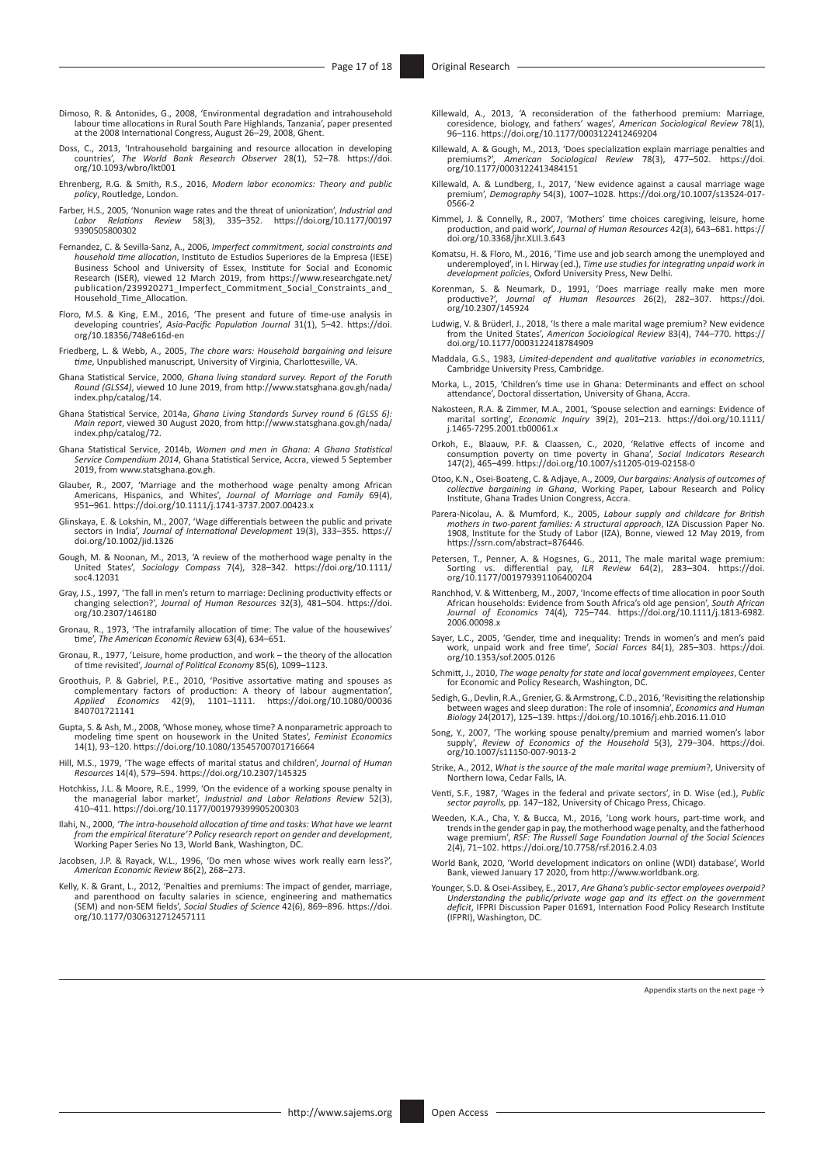- Dimoso, R. & Antonides, G., 2008, 'Environmental degradation and intrahousehold labour time allocations in Rural South Pare Highlands, Tanzania', paper presented at the 2008 International Congress, August 26–29, 2008, Ghent.
- Doss, C., 2013, 'Intrahousehold bargaining and resource allocation in developing countries', The World Bank Research Observer 28(1), 52-78. https://doi. countries', *The World Bank Research Observer* 28(1), 52–78. [https://doi.](https://doi.org/10.1093/wbro/lkt001) [org/10.1093/wbro/lkt001](https://doi.org/10.1093/wbro/lkt001)
- Ehrenberg, R.G. & Smith, R.S., 2016, *Modern labor economics: Theory and public policy*, Routledge, London.
- Farber, H.S., 2005, 'Nonunion wage rates and the threat of unionization', *Industrial and Labor Relations Review* 58(3), 335–352. [https://doi.org/10.1177/00197](https://doi.org/10.1177/001979390505800302) [9390505800302](https://doi.org/10.1177/001979390505800302)
- Fernandez, C. & Sevilla-Sanz, A., 2006, *Imperfect commitment, social constraints and household time allocation*, Instituto de Estudios Superiores de la Empresa (IESE) Business School and University of Essex, Institute for Social and Economic Research (ISER), viewed 12 March 2019, from [https://www.researchgate.net/](https://www.researchgate.net/publication/239920271_Imperfect_Commitment_Social_Constraints_and_Household_Time_Allocation) [publication/239920271\\_Imperfect\\_Commitment\\_Social\\_Constraints\\_and\\_](https://www.researchgate.net/publication/239920271_Imperfect_Commitment_Social_Constraints_and_Household_Time_Allocation) [Household\\_Time\\_Allocation.](https://www.researchgate.net/publication/239920271_Imperfect_Commitment_Social_Constraints_and_Household_Time_Allocation)
- Floro, M.S. & King, E.M., 2016, 'The present and future of time-use analysis in developing countries', *Asia-Pacific Population Journal* 31(1), 5–42. [https://doi.](https://doi.org/10.18356/748e616d-en) [org/10.18356/748e616d-en](https://doi.org/10.18356/748e616d-en)
- Friedberg, L. & Webb, A., 2005, *The chore wars: Household bargaining and leisure time*, Unpublished manuscript, University of Virginia, Charlottesville, VA.
- Ghana Statistical Service, 2000, *Ghana living standard survey. Report of the Foruth Round (GLSS4)*, viewed 10 June 2019, from [http://www.statsghana.gov.gh/nada/](http://www.statsghana.gov.gh/nada/index.php/catalog/14) [index.php/catalog/14](http://www.statsghana.gov.gh/nada/index.php/catalog/14).
- Ghana Statistical Service, 2014a, *Ghana Living Standards Survey round 6 (GLSS 6): Main report*, viewed 30 August 2020, from [http://www.statsghana.gov.gh/nada/](http://www.statsghana.gov.gh/nada/index.php/catalog/72) [index.php/catalog/72](http://www.statsghana.gov.gh/nada/index.php/catalog/72).
- Ghana Statistical Service, 2014b, *Women and men in Ghana: A Ghana Statistical Service Compendium 2014*, Ghana Statistical Service, Accra, viewed 5 September 2019, from [www.statsghana.gov.gh.](http://www.statsghana.gov.gh)
- Glauber, R., 2007, 'Marriage and the motherhood wage penalty among African Americans, Hispanics, and Whites', *Journal of Marriage and Family* 69(4), 951–961. <https://doi.org/10.1111/j.1741-3737.2007.00423.x>
- Glinskaya, E. & Lokshin, M., 2007, 'Wage differentials between the public and private sectors in India', *Journal of International Development* 19(3), 333–355. [https://](https://doi.org/10.1002/jid.1326) [doi.org/10.1002/jid.1326](https://doi.org/10.1002/jid.1326)
- Gough, M. & Noonan, M., 2013, 'A review of the motherhood wage penalty in the United States', *Sociology Compass* 7(4), 328–342. [https://doi.org/10.1111/](https://doi.org/10.1111/soc4.12031) [soc4.12031](https://doi.org/10.1111/soc4.12031)
- Gray, J.S., 1997, 'The fall in men's return to marriage: Declining productivity effects or changing selection?', *Journal of Human Resources* 32(3), 481–504. [https://doi.](https://doi.org/10.2307/146180) [org/10.2307/146180](https://doi.org/10.2307/146180)
- Gronau, R., 1973, 'The intrafamily allocation of time: The value of the housewives' time', *The American Economic Review* 63(4), 634–651.
- Gronau, R., 1977, 'Leisure, home production, and work the theory of the allocation of time revisited', *Journal of Political Economy* 85(6), 1099–1123.
- Groothuis, P. & Gabriel, P.E., 2010, 'Positive assortative mating and spouses as complementary factors of production: A theory of labour augmentation', *Applied Economics* 42(9), 1101–1111. [https://doi.org/10.1080/00036](https://doi.org/10.1080/00036840701721141) [840701721141](https://doi.org/10.1080/00036840701721141)
- Gupta, S. & Ash, M., 2008, 'Whose money, whose time? A nonparametric approach to modeling time spent on housework in the United States', *Feminist Economics* 14(1), 93–120. <https://doi.org/10.1080/13545700701716664>
- Hill, M.S., 1979, 'The wage effects of marital status and children', *Journal of Human Resources* 14(4), 579–594.<https://doi.org/10.2307/145325>
- Hotchkiss, J.L. & Moore, R.E., 1999, 'On the evidence of a working spouse penalty in the managerial labor market', *Industrial and Labor Relations Review* 52(3), 410–411. <https://doi.org/10.1177/001979399905200303>
- Ilahi, N., 2000, *'The intra-household allocation of time and tasks: What have we learnt from the empirical literature'? Policy research report on gender and development*, Working Paper Series No 13, World Bank, Washington, DC.
- Jacobsen, J.P. & Rayack, W.L., 1996, 'Do men whose wives work really earn less?', *American Economic Review* 86(2), 268–273.
- Kelly, K. & Grant, L., 2012, 'Penalties and premiums: The impact of gender, marriage, and parenthood on faculty salaries in science, engineering and mathematics (SEM) and non-SEM fields', *Social Studies of Science* 42(6), 869–896. [https://doi.](https://doi.org/10.1177/0306312712457111) [org/10.1177/0306312712457111](https://doi.org/10.1177/0306312712457111)
- Killewald, A., 2013, 'A reconsideration of the fatherhood premium: Marriage, coresidence, biology, and fathers' wages', *American Sociological Review* 78(1), 96–116. <https://doi.org/10.1177/0003122412469204>
- Killewald, A. & Gough, M., 2013, 'Does specialization explain marriage penalties and premiums?', *American Sociological Review* 78(3), 477–502. [https://doi.](https://doi.org/10.1177/0003122413484151) [org/10.1177/0003122413484151](https://doi.org/10.1177/0003122413484151)
- Killewald, A. & Lundberg, I., 2017, 'New evidence against a causal marriage wage premium', *Demography* 54(3), 1007–1028. [https://doi.org/10.1007/s13524-017-](https://doi.org/10.1007/s13524-017-0566-2) [0566-2](https://doi.org/10.1007/s13524-017-0566-2)
- Kimmel, J. & Connelly, R., 2007, 'Mothers' time choices caregiving, leisure, home production, and paid work', *Journal of Human Resources* 42(3), 643–681. [https://](https://doi.org/10.3368/jhr.XLII.3.643) [doi.org/10.3368/jhr.XLII.3.643](https://doi.org/10.3368/jhr.XLII.3.643)
- Komatsu, H. & Floro, M., 2016, 'Time use and job search among the unemployed and underemployed', in I. Hirway (ed.), *Time use studies for integrating unpaid work in development policies*, Oxford University Press, New Delhi.
- Korenman, S. & Neumark, D., 1991, 'Does marriage really make men more productive?', *Journal of Human Resources* 26(2), 282–307. [https://doi.](https://doi.org/10.2307/145924) [org/10.2307/145924](https://doi.org/10.2307/145924)
- Ludwig, V. & Brüderl, J., 2018, 'Is there a male marital wage premium? New evidence from the United States', *American Sociological Review* 83(4), 744–770. [https://](https://doi.org/10.1177/0003122418784909) [doi.org/10.1177/0003122418784909](https://doi.org/10.1177/0003122418784909)
- Maddala, G.S., 1983, *Limited-dependent and qualitative variables in econometrics*, Cambridge University Press, Cambridge.
- Morka, L., 2015, 'Children's time use in Ghana: Determinants and effect on school attendance', Doctoral dissertation, University of Ghana, Accra.
- Nakosteen, R.A. & Zimmer, M.A., 2001, 'Spouse selection and earnings: Evidence of marital sorting', *Economic Inquiry* 39(2), 201–213. [https://doi.org/10.1111/](https://doi.org/10.1111/j.1465-7295.2001.tb00061.x) [j.1465-7295.2001.tb00061.x](https://doi.org/10.1111/j.1465-7295.2001.tb00061.x)
- Orkoh, E., Blaauw, P.F. & Claassen, C., 2020, 'Relative effects of income and<br>consumption poverty on time poverty in Ghana', *Social Indicators Research*<br>147(2), 465–499.<https://doi.org/10.1007/s11205-019-02158-0>
- Otoo, K.N., Osei-Boateng, C. & Adjaye, A., 2009, *Our bargains: Analysis of outcomes of collective bargaining in Ghana*, Working Paper, Labour Research and Policy Institute, Ghana Trades Union Congress, Accra.
- Parera-Nicolau, A. & Mumford, K., 2005, *Labour supply and childcare for British mothers in two-parent families: A structural approach*, IZA Discussion Paper No. 1908, Institute for the Study of Labor (IZA), Bonne, viewed 12 May 2019, from [https://ssrn.com/abstract=876446.](https://ssrn.com/abstract=876446)
- Petersen, T., Penner, A. & Hogsnes, G., 2011, The male marital wage premium: Sorting vs. differential pay, *ILR Review* 64(2), 283–304. [https://doi.](https://doi.org/10.1177/001979391106400204) [org/10.1177/001979391106400204](https://doi.org/10.1177/001979391106400204)
- Ranchhod, V. & Wittenberg, M., 2007, 'Income effects of time allocation in poor South<br>African households: Evidence from South Africa's old age pension', South African<br>Journal of Economics 74(4), 725–744. https://doi.org/10 [2006.00098.x](https://doi.org/10.1111/j.1813-6982.2006.00098.x)
- Sayer, L.C., 2005, 'Gender, time and inequality: Trends in women's and men's paid work, unpaid work and free time', *Social Forces* 84(1), 285–303. [https://doi.](https://doi.org/10.1353/sof.2005.0126) [org/10.1353/sof.2005.0126](https://doi.org/10.1353/sof.2005.0126)
- Schmitt, J., 2010, *The wage penalty for state and local government employees*, Center for Economic and Policy Research, Washington, DC.
- Sedigh, G., Devlin, R.A., Grenier, G. & Armstrong, C.D., 2016, 'Revisiting the relationship between wages and sleep duration: The role of insomnia', *Economics and Human Biology* 24(2017), 125–139. <https://doi.org/10.1016/j.ehb.2016.11.010>
- Song, Y., 2007, 'The working spouse penalty/premium and married women's labor supply', *Review of Economics of the Household* 5(3), 279–304. [https://doi.](https://doi.org/10.1007/s11150-007-9013-2) [org/10.1007/s11150-007-9013-2](https://doi.org/10.1007/s11150-007-9013-2)
- Strike, A., 2012, *What is the source of the male marital wage premium*?, University of Northern Iowa, Cedar Falls, IA.
- Venti, S.F., 1987, 'Wages in the federal and private sectors', in D. Wise (ed.), *Public sector payrolls,* pp. 147–182, University of Chicago Press, Chicago.
- Weeden, K.A., Cha, Y. & Bucca, M., 2016, 'Long work hours, part-time work, and trends in the gender gap in pay, the motherhood wage penalty, and the fatherhood wage premium', *RSF: The Russell Sage Foundation Journal of the Social Sciences* 2(4), 71–102.<https://doi.org/10.7758/rsf.2016.2.4.03>
- World Bank, 2020, 'World development indicators on online (WDI) database', World Bank, viewed January 17 2020, from [http://www.worldbank.org.](http://www.worldbank.org)
- Younger, S.D. & Osei-Assibey, E., 2017, *Are Ghana's public-sector employees overpaid? Understanding the public/private wage gap and its effect on the government<br><i>deficit*, IFPRI Discussion Paper 01691, Internation Food Policy Research Institute<br>(IFPRI), Washington, DC.

Appendix starts on the next page  $\rightarrow$